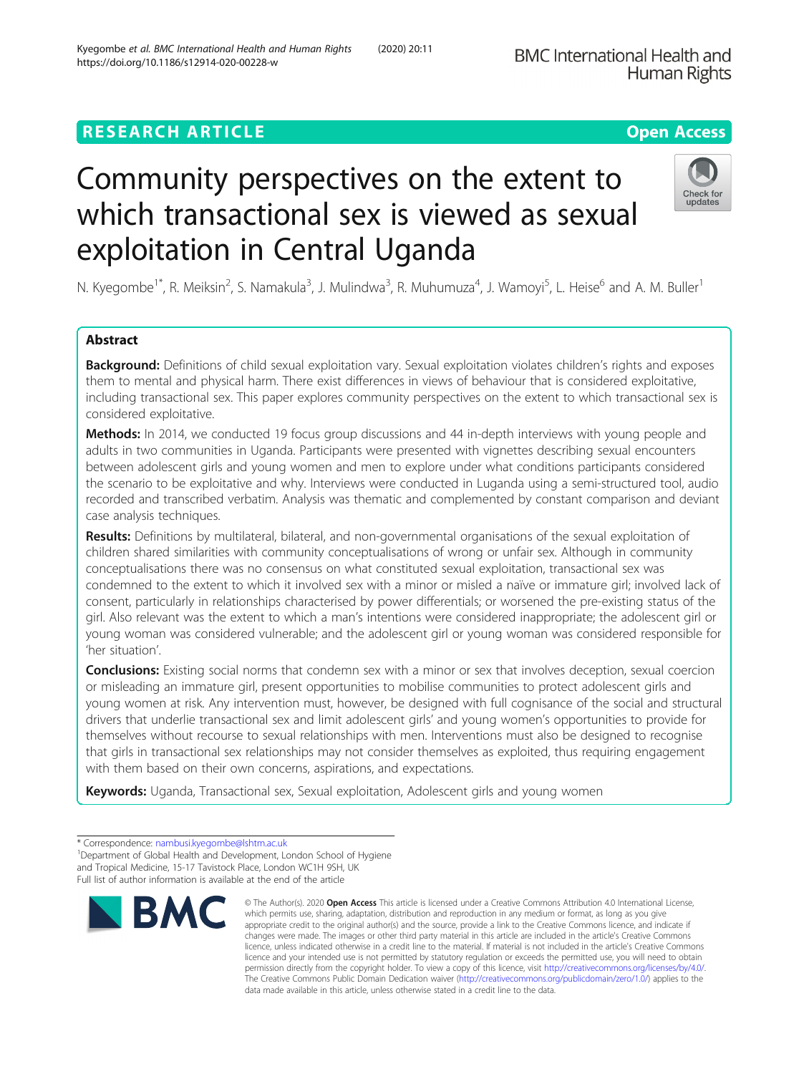## **RESEARCH ARTICLE Example 2014 12:30 The Contract of Contract ACCESS**

# Community perspectives on the extent to which transactional sex is viewed as sexual exploitation in Central Uganda

N. Kyegombe<sup>1\*</sup>, R. Meiksin<sup>2</sup>, S. Namakula<sup>3</sup>, J. Mulindwa<sup>3</sup>, R. Muhumuza<sup>4</sup>, J. Wamoyi<sup>5</sup>, L. Heise<sup>6</sup> and A. M. Buller<sup>1</sup>

## Abstract

Background: Definitions of child sexual exploitation vary. Sexual exploitation violates children's rights and exposes them to mental and physical harm. There exist differences in views of behaviour that is considered exploitative, including transactional sex. This paper explores community perspectives on the extent to which transactional sex is considered exploitative.

Methods: In 2014, we conducted 19 focus group discussions and 44 in-depth interviews with young people and adults in two communities in Uganda. Participants were presented with vignettes describing sexual encounters between adolescent girls and young women and men to explore under what conditions participants considered the scenario to be exploitative and why. Interviews were conducted in Luganda using a semi-structured tool, audio recorded and transcribed verbatim. Analysis was thematic and complemented by constant comparison and deviant case analysis techniques.

Results: Definitions by multilateral, bilateral, and non-governmental organisations of the sexual exploitation of children shared similarities with community conceptualisations of wrong or unfair sex. Although in community conceptualisations there was no consensus on what constituted sexual exploitation, transactional sex was condemned to the extent to which it involved sex with a minor or misled a naïve or immature girl; involved lack of consent, particularly in relationships characterised by power differentials; or worsened the pre-existing status of the girl. Also relevant was the extent to which a man's intentions were considered inappropriate; the adolescent girl or young woman was considered vulnerable; and the adolescent girl or young woman was considered responsible for 'her situation'.

**Conclusions:** Existing social norms that condemn sex with a minor or sex that involves deception, sexual coercion or misleading an immature girl, present opportunities to mobilise communities to protect adolescent girls and young women at risk. Any intervention must, however, be designed with full cognisance of the social and structural drivers that underlie transactional sex and limit adolescent girls' and young women's opportunities to provide for themselves without recourse to sexual relationships with men. Interventions must also be designed to recognise that girls in transactional sex relationships may not consider themselves as exploited, thus requiring engagement with them based on their own concerns, aspirations, and expectations.

Keywords: Uganda, Transactional sex, Sexual exploitation, Adolescent girls and young women



© The Author(s), 2020 **Open Access** This article is licensed under a Creative Commons Attribution 4.0 International License,





<sup>\*</sup> Correspondence: [nambusi.kyegombe@lshtm.ac.uk](mailto:nambusi.kyegombe@lshtm.ac.uk) <sup>1</sup>

<sup>&</sup>lt;sup>1</sup>Department of Global Health and Development, London School of Hygiene and Tropical Medicine, 15-17 Tavistock Place, London WC1H 9SH, UK Full list of author information is available at the end of the article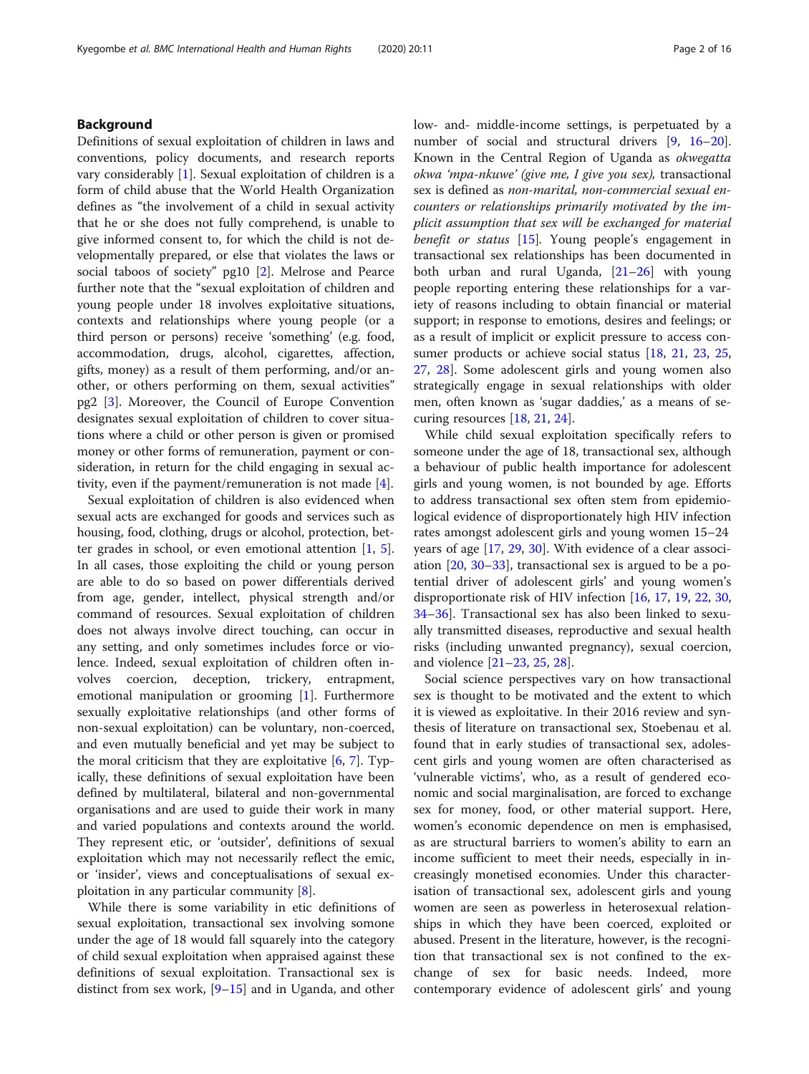## Background

Definitions of sexual exploitation of children in laws and conventions, policy documents, and research reports vary considerably [\[1](#page-14-0)]. Sexual exploitation of children is a form of child abuse that the World Health Organization defines as "the involvement of a child in sexual activity that he or she does not fully comprehend, is unable to give informed consent to, for which the child is not developmentally prepared, or else that violates the laws or social taboos of society" pg10 [[2](#page-14-0)]. Melrose and Pearce further note that the "sexual exploitation of children and young people under 18 involves exploitative situations, contexts and relationships where young people (or a third person or persons) receive 'something' (e.g. food, accommodation, drugs, alcohol, cigarettes, affection, gifts, money) as a result of them performing, and/or another, or others performing on them, sexual activities" pg2 [\[3](#page-14-0)]. Moreover, the Council of Europe Convention designates sexual exploitation of children to cover situations where a child or other person is given or promised money or other forms of remuneration, payment or consideration, in return for the child engaging in sexual activity, even if the payment/remuneration is not made [[4\]](#page-14-0).

Sexual exploitation of children is also evidenced when sexual acts are exchanged for goods and services such as housing, food, clothing, drugs or alcohol, protection, better grades in school, or even emotional attention [\[1](#page-14-0), [5](#page-14-0)]. In all cases, those exploiting the child or young person are able to do so based on power differentials derived from age, gender, intellect, physical strength and/or command of resources. Sexual exploitation of children does not always involve direct touching, can occur in any setting, and only sometimes includes force or violence. Indeed, sexual exploitation of children often involves coercion, deception, trickery, entrapment, emotional manipulation or grooming [\[1](#page-14-0)]. Furthermore sexually exploitative relationships (and other forms of non-sexual exploitation) can be voluntary, non-coerced, and even mutually beneficial and yet may be subject to the moral criticism that they are exploitative  $[6, 7]$  $[6, 7]$  $[6, 7]$  $[6, 7]$ . Typically, these definitions of sexual exploitation have been defined by multilateral, bilateral and non-governmental organisations and are used to guide their work in many and varied populations and contexts around the world. They represent etic, or 'outsider', definitions of sexual exploitation which may not necessarily reflect the emic, or 'insider', views and conceptualisations of sexual exploitation in any particular community [\[8](#page-14-0)].

While there is some variability in etic definitions of sexual exploitation, transactional sex involving somone under the age of 18 would fall squarely into the category of child sexual exploitation when appraised against these definitions of sexual exploitation. Transactional sex is distinct from sex work,  $[9-15]$  $[9-15]$  $[9-15]$  and in Uganda, and other low- and- middle-income settings, is perpetuated by a number of social and structural drivers [[9,](#page-14-0) [16](#page-14-0)–[20](#page-14-0)]. Known in the Central Region of Uganda as okwegatta okwa 'mpa-nkuwe' (give me, I give you sex), transactional sex is defined as non-marital, non-commercial sexual encounters or relationships primarily motivated by the implicit assumption that sex will be exchanged for material *benefit or status* [\[15](#page-14-0)]. Young people's engagement in transactional sex relationships has been documented in both urban and rural Uganda, [\[21](#page-14-0)–[26\]](#page-14-0) with young people reporting entering these relationships for a variety of reasons including to obtain financial or material support; in response to emotions, desires and feelings; or as a result of implicit or explicit pressure to access con-sumer products or achieve social status [[18](#page-14-0), [21](#page-14-0), [23](#page-14-0), [25](#page-14-0), [27,](#page-14-0) [28](#page-14-0)]. Some adolescent girls and young women also strategically engage in sexual relationships with older men, often known as 'sugar daddies,' as a means of securing resources [\[18](#page-14-0), [21](#page-14-0), [24](#page-14-0)].

While child sexual exploitation specifically refers to someone under the age of 18, transactional sex, although a behaviour of public health importance for adolescent girls and young women, is not bounded by age. Efforts to address transactional sex often stem from epidemiological evidence of disproportionately high HIV infection rates amongst adolescent girls and young women 15–24 years of age [\[17](#page-14-0), [29](#page-14-0), [30](#page-14-0)]. With evidence of a clear association [[20,](#page-14-0) [30](#page-14-0)–[33](#page-14-0)], transactional sex is argued to be a potential driver of adolescent girls' and young women's disproportionate risk of HIV infection [[16,](#page-14-0) [17,](#page-14-0) [19,](#page-14-0) [22,](#page-14-0) [30](#page-14-0), [34](#page-14-0)–[36](#page-15-0)]. Transactional sex has also been linked to sexually transmitted diseases, reproductive and sexual health risks (including unwanted pregnancy), sexual coercion, and violence [\[21](#page-14-0)–[23,](#page-14-0) [25,](#page-14-0) [28\]](#page-14-0).

Social science perspectives vary on how transactional sex is thought to be motivated and the extent to which it is viewed as exploitative. In their 2016 review and synthesis of literature on transactional sex, Stoebenau et al. found that in early studies of transactional sex, adolescent girls and young women are often characterised as 'vulnerable victims', who, as a result of gendered economic and social marginalisation, are forced to exchange sex for money, food, or other material support. Here, women's economic dependence on men is emphasised, as are structural barriers to women's ability to earn an income sufficient to meet their needs, especially in increasingly monetised economies. Under this characterisation of transactional sex, adolescent girls and young women are seen as powerless in heterosexual relationships in which they have been coerced, exploited or abused. Present in the literature, however, is the recognition that transactional sex is not confined to the exchange of sex for basic needs. Indeed, more contemporary evidence of adolescent girls' and young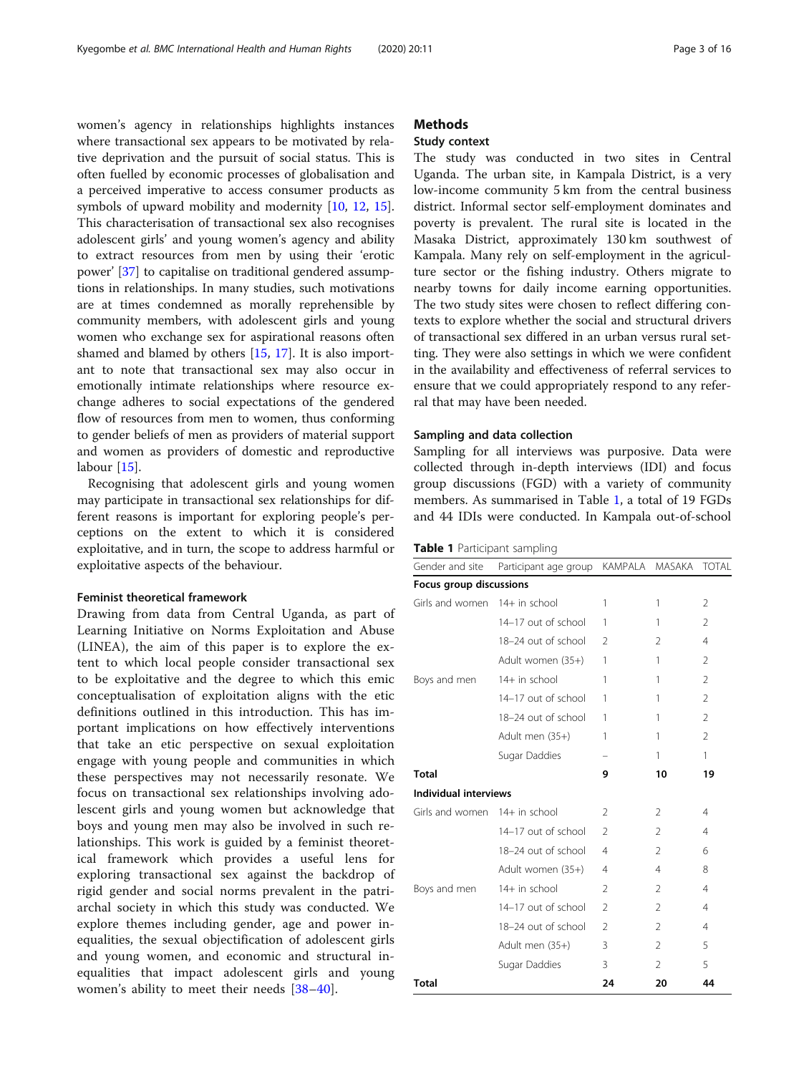women's agency in relationships highlights instances where transactional sex appears to be motivated by relative deprivation and the pursuit of social status. This is often fuelled by economic processes of globalisation and a perceived imperative to access consumer products as symbols of upward mobility and modernity [\[10,](#page-14-0) [12,](#page-14-0) [15](#page-14-0)]. This characterisation of transactional sex also recognises adolescent girls' and young women's agency and ability to extract resources from men by using their 'erotic power' [[37\]](#page-15-0) to capitalise on traditional gendered assumptions in relationships. In many studies, such motivations are at times condemned as morally reprehensible by community members, with adolescent girls and young women who exchange sex for aspirational reasons often shamed and blamed by others [\[15](#page-14-0), [17](#page-14-0)]. It is also important to note that transactional sex may also occur in emotionally intimate relationships where resource exchange adheres to social expectations of the gendered flow of resources from men to women, thus conforming to gender beliefs of men as providers of material support and women as providers of domestic and reproductive labour [[15\]](#page-14-0).

Recognising that adolescent girls and young women may participate in transactional sex relationships for different reasons is important for exploring people's perceptions on the extent to which it is considered exploitative, and in turn, the scope to address harmful or exploitative aspects of the behaviour.

#### Feminist theoretical framework

Drawing from data from Central Uganda, as part of Learning Initiative on Norms Exploitation and Abuse (LINEA), the aim of this paper is to explore the extent to which local people consider transactional sex to be exploitative and the degree to which this emic conceptualisation of exploitation aligns with the etic definitions outlined in this introduction. This has important implications on how effectively interventions that take an etic perspective on sexual exploitation engage with young people and communities in which these perspectives may not necessarily resonate. We focus on transactional sex relationships involving adolescent girls and young women but acknowledge that boys and young men may also be involved in such relationships. This work is guided by a feminist theoretical framework which provides a useful lens for exploring transactional sex against the backdrop of rigid gender and social norms prevalent in the patriarchal society in which this study was conducted. We explore themes including gender, age and power inequalities, the sexual objectification of adolescent girls and young women, and economic and structural inequalities that impact adolescent girls and young women's ability to meet their needs [\[38](#page-15-0)–[40](#page-15-0)].

## **Methods**

## Study context

The study was conducted in two sites in Central Uganda. The urban site, in Kampala District, is a very low-income community 5 km from the central business district. Informal sector self-employment dominates and poverty is prevalent. The rural site is located in the Masaka District, approximately 130 km southwest of Kampala. Many rely on self-employment in the agriculture sector or the fishing industry. Others migrate to nearby towns for daily income earning opportunities. The two study sites were chosen to reflect differing contexts to explore whether the social and structural drivers of transactional sex differed in an urban versus rural setting. They were also settings in which we were confident in the availability and effectiveness of referral services to ensure that we could appropriately respond to any referral that may have been needed.

#### Sampling and data collection

Sampling for all interviews was purposive. Data were collected through in-depth interviews (IDI) and focus group discussions (FGD) with a variety of community members. As summarised in Table 1, a total of 19 FGDs and 44 IDIs were conducted. In Kampala out-of-school

| Table 1 Participant sampling |  |  |
|------------------------------|--|--|
|------------------------------|--|--|

| Gender and site               | Participant age group | <b>KAMPALA</b> | MASAKA         | <b>TOTAL</b>   |
|-------------------------------|-----------------------|----------------|----------------|----------------|
| Focus group discussions       |                       |                |                |                |
| Girls and women 14+ in school |                       | 1              | 1              | 2              |
|                               | 14-17 out of school   | 1              | 1              | 2              |
|                               | 18-24 out of school   | $\overline{2}$ | 2              | $\overline{4}$ |
|                               | Adult women (35+)     | 1              | 1              | 2              |
| Boys and men                  | 14+ in school         | 1              | 1              | $\overline{2}$ |
|                               | 14-17 out of school   | 1              | 1              | $\mathfrak{D}$ |
|                               | 18-24 out of school   | 1              | 1              | 2              |
|                               | Adult men (35+)       | 1              | 1              | $\overline{2}$ |
|                               | Sugar Daddies         |                | 1              | $\mathbf{1}$   |
| <b>Total</b>                  |                       | 9              | 10             | 19             |
| Individual interviews         |                       |                |                |                |
| Girls and women 14+ in school |                       | $\mathcal{P}$  | 2              | $\overline{4}$ |
|                               | 14-17 out of school   | $\mathfrak{D}$ | $\mathfrak{D}$ | $\overline{4}$ |
|                               | 18-24 out of school   | $\overline{4}$ | $\mathfrak{D}$ | 6              |
|                               | Adult women (35+)     | $\overline{4}$ | $\overline{4}$ | 8              |
| Boys and men                  | 14+ in school         | $\mathfrak{D}$ | $\overline{2}$ | $\overline{4}$ |
|                               | 14-17 out of school   | $\mathfrak{D}$ | $\mathfrak{D}$ | 4              |
|                               | 18-24 out of school   | $\overline{2}$ | $\overline{2}$ | 4              |
|                               | Adult men (35+)       | 3              | 2              | 5              |
|                               | Sugar Daddies         | 3              | $\mathfrak{D}$ | 5              |
| Total                         |                       | 24             | 20             | 44             |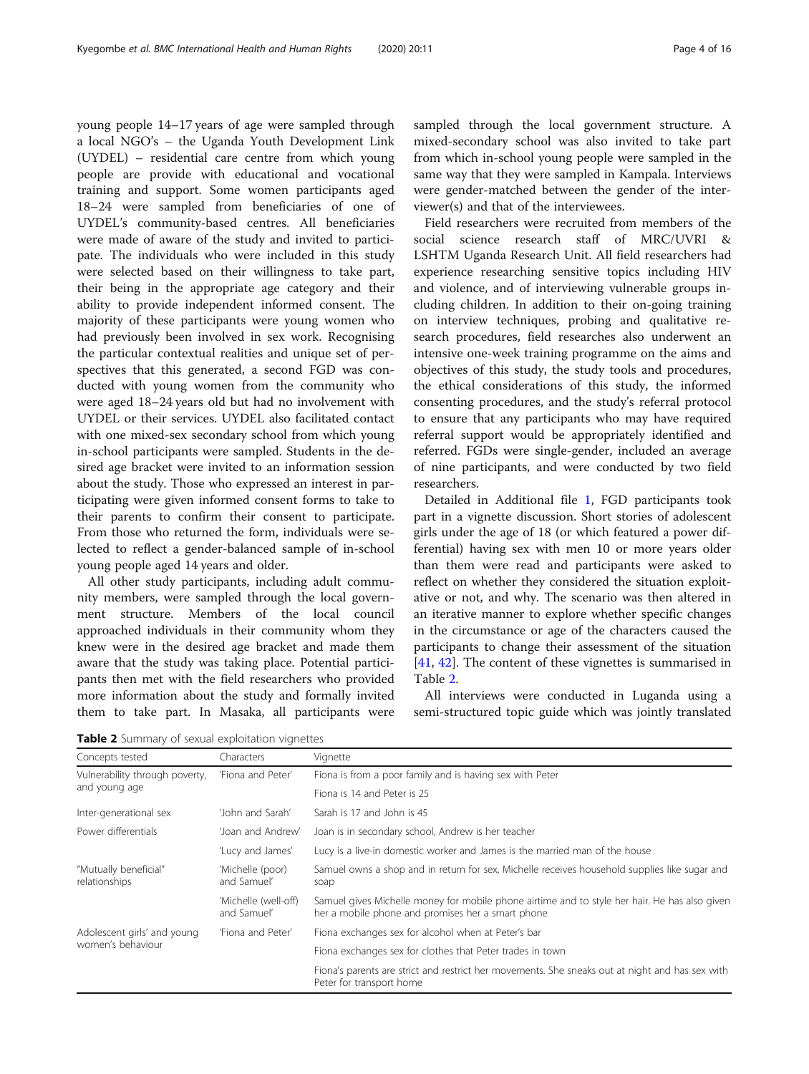young people 14–17 years of age were sampled through a local NGO's – the Uganda Youth Development Link (UYDEL) – residential care centre from which young people are provide with educational and vocational training and support. Some women participants aged 18–24 were sampled from beneficiaries of one of UYDEL's community-based centres. All beneficiaries were made of aware of the study and invited to participate. The individuals who were included in this study were selected based on their willingness to take part, their being in the appropriate age category and their ability to provide independent informed consent. The majority of these participants were young women who had previously been involved in sex work. Recognising the particular contextual realities and unique set of perspectives that this generated, a second FGD was conducted with young women from the community who were aged 18–24 years old but had no involvement with UYDEL or their services. UYDEL also facilitated contact with one mixed-sex secondary school from which young in-school participants were sampled. Students in the desired age bracket were invited to an information session about the study. Those who expressed an interest in participating were given informed consent forms to take to their parents to confirm their consent to participate. From those who returned the form, individuals were selected to reflect a gender-balanced sample of in-school young people aged 14 years and older.

All other study participants, including adult community members, were sampled through the local government structure. Members of the local council approached individuals in their community whom they knew were in the desired age bracket and made them aware that the study was taking place. Potential participants then met with the field researchers who provided more information about the study and formally invited them to take part. In Masaka, all participants were sampled through the local government structure. A mixed-secondary school was also invited to take part from which in-school young people were sampled in the same way that they were sampled in Kampala. Interviews were gender-matched between the gender of the interviewer(s) and that of the interviewees.

Field researchers were recruited from members of the social science research staff of MRC/UVRI & LSHTM Uganda Research Unit. All field researchers had experience researching sensitive topics including HIV and violence, and of interviewing vulnerable groups including children. In addition to their on-going training on interview techniques, probing and qualitative research procedures, field researches also underwent an intensive one-week training programme on the aims and objectives of this study, the study tools and procedures, the ethical considerations of this study, the informed consenting procedures, and the study's referral protocol to ensure that any participants who may have required referral support would be appropriately identified and referred. FGDs were single-gender, included an average of nine participants, and were conducted by two field researchers.

Detailed in Additional file [1](#page-13-0), FGD participants took part in a vignette discussion. Short stories of adolescent girls under the age of 18 (or which featured a power differential) having sex with men 10 or more years older than them were read and participants were asked to reflect on whether they considered the situation exploitative or not, and why. The scenario was then altered in an iterative manner to explore whether specific changes in the circumstance or age of the characters caused the participants to change their assessment of the situation [[41,](#page-15-0) [42\]](#page-15-0). The content of these vignettes is summarised in Table 2.

All interviews were conducted in Luganda using a semi-structured topic guide which was jointly translated

Table 2 Summary of sexual exploitation vignettes

| Concepts tested                        | Characters                          | Vignette                                                                                                                                           |
|----------------------------------------|-------------------------------------|----------------------------------------------------------------------------------------------------------------------------------------------------|
| Vulnerability through poverty,         | 'Fiona and Peter'                   | Fiona is from a poor family and is having sex with Peter                                                                                           |
| and young age                          |                                     | Fiona is 14 and Peter is 25                                                                                                                        |
| Inter-generational sex                 | 'John and Sarah'                    | Sarah is 17 and John is 45                                                                                                                         |
| Power differentials                    | 'Joan and Andrew'                   | Joan is in secondary school, Andrew is her teacher                                                                                                 |
|                                        | 'Lucy and James'                    | Lucy is a live-in domestic worker and James is the married man of the house                                                                        |
| "Mutually beneficial"<br>relationships | 'Michelle (poor)<br>and Samuel'     | Samuel owns a shop and in return for sex, Michelle receives household supplies like sugar and<br>soap                                              |
|                                        | 'Michelle (well-off)<br>and Samuel' | Samuel gives Michelle money for mobile phone airtime and to style her hair. He has also given<br>her a mobile phone and promises her a smart phone |
| Adolescent girls' and young            | 'Fiona and Peter'                   | Fiona exchanges sex for alcohol when at Peter's bar                                                                                                |
| women's behaviour                      |                                     | Fiona exchanges sex for clothes that Peter trades in town                                                                                          |
|                                        |                                     | Fiona's parents are strict and restrict her movements. She sneaks out at night and has sex with<br>Peter for transport home                        |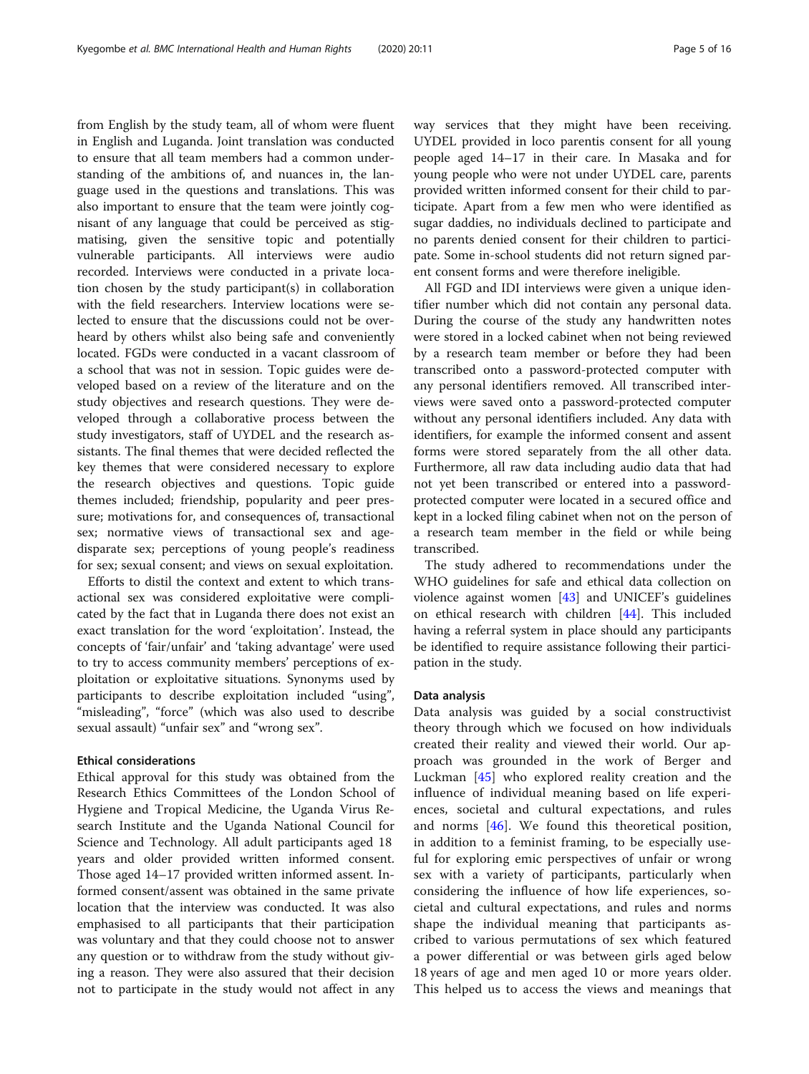from English by the study team, all of whom were fluent in English and Luganda. Joint translation was conducted to ensure that all team members had a common understanding of the ambitions of, and nuances in, the language used in the questions and translations. This was also important to ensure that the team were jointly cognisant of any language that could be perceived as stigmatising, given the sensitive topic and potentially vulnerable participants. All interviews were audio recorded. Interviews were conducted in a private location chosen by the study participant(s) in collaboration with the field researchers. Interview locations were selected to ensure that the discussions could not be overheard by others whilst also being safe and conveniently located. FGDs were conducted in a vacant classroom of a school that was not in session. Topic guides were developed based on a review of the literature and on the study objectives and research questions. They were developed through a collaborative process between the study investigators, staff of UYDEL and the research assistants. The final themes that were decided reflected the key themes that were considered necessary to explore the research objectives and questions. Topic guide themes included; friendship, popularity and peer pressure; motivations for, and consequences of, transactional sex; normative views of transactional sex and agedisparate sex; perceptions of young people's readiness for sex; sexual consent; and views on sexual exploitation.

Efforts to distil the context and extent to which transactional sex was considered exploitative were complicated by the fact that in Luganda there does not exist an exact translation for the word 'exploitation'. Instead, the concepts of 'fair/unfair' and 'taking advantage' were used to try to access community members' perceptions of exploitation or exploitative situations. Synonyms used by participants to describe exploitation included "using", "misleading", "force" (which was also used to describe sexual assault) "unfair sex" and "wrong sex".

## Ethical considerations

Ethical approval for this study was obtained from the Research Ethics Committees of the London School of Hygiene and Tropical Medicine, the Uganda Virus Research Institute and the Uganda National Council for Science and Technology. All adult participants aged 18 years and older provided written informed consent. Those aged 14–17 provided written informed assent. Informed consent/assent was obtained in the same private location that the interview was conducted. It was also emphasised to all participants that their participation was voluntary and that they could choose not to answer any question or to withdraw from the study without giving a reason. They were also assured that their decision not to participate in the study would not affect in any

way services that they might have been receiving. UYDEL provided in loco parentis consent for all young people aged 14–17 in their care. In Masaka and for young people who were not under UYDEL care, parents provided written informed consent for their child to participate. Apart from a few men who were identified as sugar daddies, no individuals declined to participate and no parents denied consent for their children to participate. Some in-school students did not return signed parent consent forms and were therefore ineligible.

All FGD and IDI interviews were given a unique identifier number which did not contain any personal data. During the course of the study any handwritten notes were stored in a locked cabinet when not being reviewed by a research team member or before they had been transcribed onto a password-protected computer with any personal identifiers removed. All transcribed interviews were saved onto a password-protected computer without any personal identifiers included. Any data with identifiers, for example the informed consent and assent forms were stored separately from the all other data. Furthermore, all raw data including audio data that had not yet been transcribed or entered into a passwordprotected computer were located in a secured office and kept in a locked filing cabinet when not on the person of a research team member in the field or while being transcribed.

The study adhered to recommendations under the WHO guidelines for safe and ethical data collection on violence against women [\[43](#page-15-0)] and UNICEF's guidelines on ethical research with children [[44\]](#page-15-0). This included having a referral system in place should any participants be identified to require assistance following their participation in the study.

## Data analysis

Data analysis was guided by a social constructivist theory through which we focused on how individuals created their reality and viewed their world. Our approach was grounded in the work of Berger and Luckman [[45](#page-15-0)] who explored reality creation and the influence of individual meaning based on life experiences, societal and cultural expectations, and rules and norms [\[46](#page-15-0)]. We found this theoretical position, in addition to a feminist framing, to be especially useful for exploring emic perspectives of unfair or wrong sex with a variety of participants, particularly when considering the influence of how life experiences, societal and cultural expectations, and rules and norms shape the individual meaning that participants ascribed to various permutations of sex which featured a power differential or was between girls aged below 18 years of age and men aged 10 or more years older. This helped us to access the views and meanings that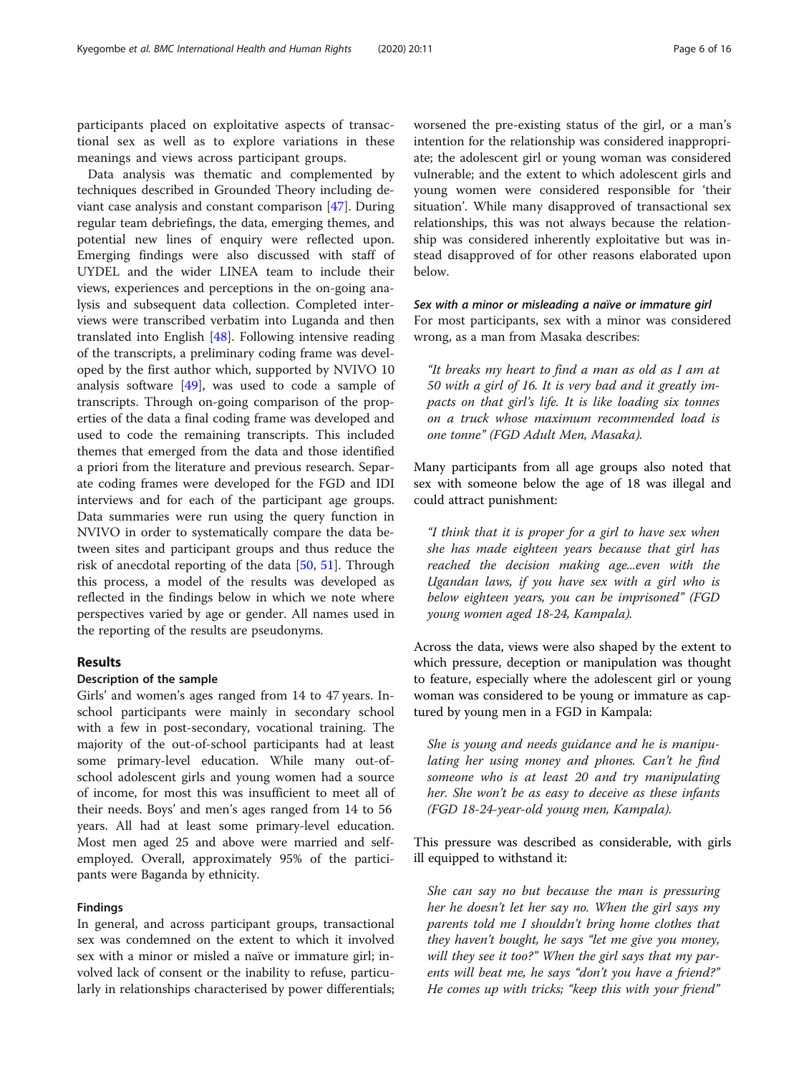participants placed on exploitative aspects of transactional sex as well as to explore variations in these meanings and views across participant groups.

Data analysis was thematic and complemented by techniques described in Grounded Theory including deviant case analysis and constant comparison [[47](#page-15-0)]. During regular team debriefings, the data, emerging themes, and potential new lines of enquiry were reflected upon. Emerging findings were also discussed with staff of UYDEL and the wider LINEA team to include their views, experiences and perceptions in the on-going analysis and subsequent data collection. Completed interviews were transcribed verbatim into Luganda and then translated into English [\[48](#page-15-0)]. Following intensive reading of the transcripts, a preliminary coding frame was developed by the first author which, supported by NVIVO 10 analysis software  $[49]$ , was used to code a sample of transcripts. Through on-going comparison of the properties of the data a final coding frame was developed and used to code the remaining transcripts. This included themes that emerged from the data and those identified a priori from the literature and previous research. Separate coding frames were developed for the FGD and IDI interviews and for each of the participant age groups. Data summaries were run using the query function in NVIVO in order to systematically compare the data between sites and participant groups and thus reduce the risk of anecdotal reporting of the data [[50,](#page-15-0) [51\]](#page-15-0). Through this process, a model of the results was developed as reflected in the findings below in which we note where perspectives varied by age or gender. All names used in the reporting of the results are pseudonyms.

## Results

#### Description of the sample

Girls' and women's ages ranged from 14 to 47 years. Inschool participants were mainly in secondary school with a few in post-secondary, vocational training. The majority of the out-of-school participants had at least some primary-level education. While many out-ofschool adolescent girls and young women had a source of income, for most this was insufficient to meet all of their needs. Boys' and men's ages ranged from 14 to 56 years. All had at least some primary-level education. Most men aged 25 and above were married and selfemployed. Overall, approximately 95% of the participants were Baganda by ethnicity.

### Findings

In general, and across participant groups, transactional sex was condemned on the extent to which it involved sex with a minor or misled a naïve or immature girl; involved lack of consent or the inability to refuse, particularly in relationships characterised by power differentials; worsened the pre-existing status of the girl, or a man's intention for the relationship was considered inappropriate; the adolescent girl or young woman was considered vulnerable; and the extent to which adolescent girls and young women were considered responsible for 'their situation'. While many disapproved of transactional sex relationships, this was not always because the relationship was considered inherently exploitative but was instead disapproved of for other reasons elaborated upon below.

Sex with a minor or misleading a naïve or immature girl For most participants, sex with a minor was considered wrong, as a man from Masaka describes:

"It breaks my heart to find a man as old as I am at 50 with a girl of 16. It is very bad and it greatly impacts on that girl's life. It is like loading six tonnes on a truck whose maximum recommended load is one tonne" (FGD Adult Men, Masaka).

Many participants from all age groups also noted that sex with someone below the age of 18 was illegal and could attract punishment:

"I think that it is proper for a girl to have sex when she has made eighteen years because that girl has reached the decision making age...even with the Ugandan laws, if you have sex with a girl who is below eighteen years, you can be imprisoned" (FGD young women aged 18-24, Kampala).

Across the data, views were also shaped by the extent to which pressure, deception or manipulation was thought to feature, especially where the adolescent girl or young woman was considered to be young or immature as captured by young men in a FGD in Kampala:

She is young and needs guidance and he is manipulating her using money and phones. Can't he find someone who is at least 20 and try manipulating her. She won't be as easy to deceive as these infants (FGD 18-24-year-old young men, Kampala).

This pressure was described as considerable, with girls ill equipped to withstand it:

She can say no but because the man is pressuring her he doesn't let her say no. When the girl says my parents told me I shouldn't bring home clothes that they haven't bought, he says "let me give you money, will they see it too?" When the girl says that my parents will beat me, he says "don't you have a friend?" He comes up with tricks; "keep this with your friend"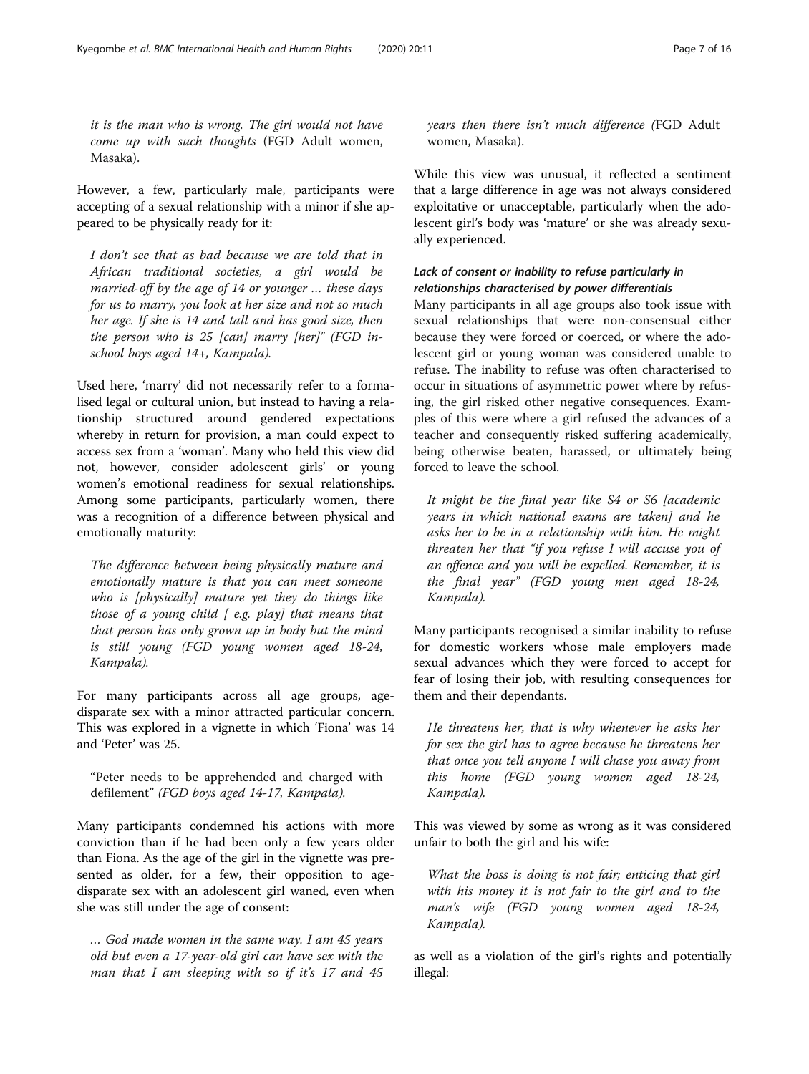it is the man who is wrong. The girl would not have come up with such thoughts (FGD Adult women, Masaka).

However, a few, particularly male, participants were accepting of a sexual relationship with a minor if she appeared to be physically ready for it:

I don't see that as bad because we are told that in African traditional societies, a girl would be married-off by the age of 14 or younger … these days for us to marry, you look at her size and not so much her age. If she is 14 and tall and has good size, then the person who is 25  $[can]$  marry  $[her]$ " (FGD inschool boys aged 14+, Kampala).

Used here, 'marry' did not necessarily refer to a formalised legal or cultural union, but instead to having a relationship structured around gendered expectations whereby in return for provision, a man could expect to access sex from a 'woman'. Many who held this view did not, however, consider adolescent girls' or young women's emotional readiness for sexual relationships. Among some participants, particularly women, there was a recognition of a difference between physical and emotionally maturity:

The difference between being physically mature and emotionally mature is that you can meet someone who is [physically] mature yet they do things like those of a young child  $\int$  e.g. play] that means that that person has only grown up in body but the mind is still young (FGD young women aged 18-24, Kampala).

For many participants across all age groups, agedisparate sex with a minor attracted particular concern. This was explored in a vignette in which 'Fiona' was 14 and 'Peter' was 25.

"Peter needs to be apprehended and charged with defilement" (FGD boys aged 14-17, Kampala).

Many participants condemned his actions with more conviction than if he had been only a few years older than Fiona. As the age of the girl in the vignette was presented as older, for a few, their opposition to agedisparate sex with an adolescent girl waned, even when she was still under the age of consent:

… God made women in the same way. I am 45 years old but even a 17-year-old girl can have sex with the man that I am sleeping with so if it's 17 and 45

years then there isn't much difference (FGD Adult women, Masaka).

While this view was unusual, it reflected a sentiment that a large difference in age was not always considered exploitative or unacceptable, particularly when the adolescent girl's body was 'mature' or she was already sexually experienced.

## Lack of consent or inability to refuse particularly in relationships characterised by power differentials

Many participants in all age groups also took issue with sexual relationships that were non-consensual either because they were forced or coerced, or where the adolescent girl or young woman was considered unable to refuse. The inability to refuse was often characterised to occur in situations of asymmetric power where by refusing, the girl risked other negative consequences. Examples of this were where a girl refused the advances of a teacher and consequently risked suffering academically, being otherwise beaten, harassed, or ultimately being forced to leave the school.

It might be the final year like S4 or S6 [academic years in which national exams are taken] and he asks her to be in a relationship with him. He might threaten her that "if you refuse I will accuse you of an offence and you will be expelled. Remember, it is the final year" (FGD young men aged 18-24, Kampala).

Many participants recognised a similar inability to refuse for domestic workers whose male employers made sexual advances which they were forced to accept for fear of losing their job, with resulting consequences for them and their dependants.

He threatens her, that is why whenever he asks her for sex the girl has to agree because he threatens her that once you tell anyone I will chase you away from this home (FGD young women aged 18-24, Kampala).

This was viewed by some as wrong as it was considered unfair to both the girl and his wife:

What the boss is doing is not fair; enticing that girl with his money it is not fair to the girl and to the man's wife (FGD young women aged 18-24, Kampala).

as well as a violation of the girl's rights and potentially illegal: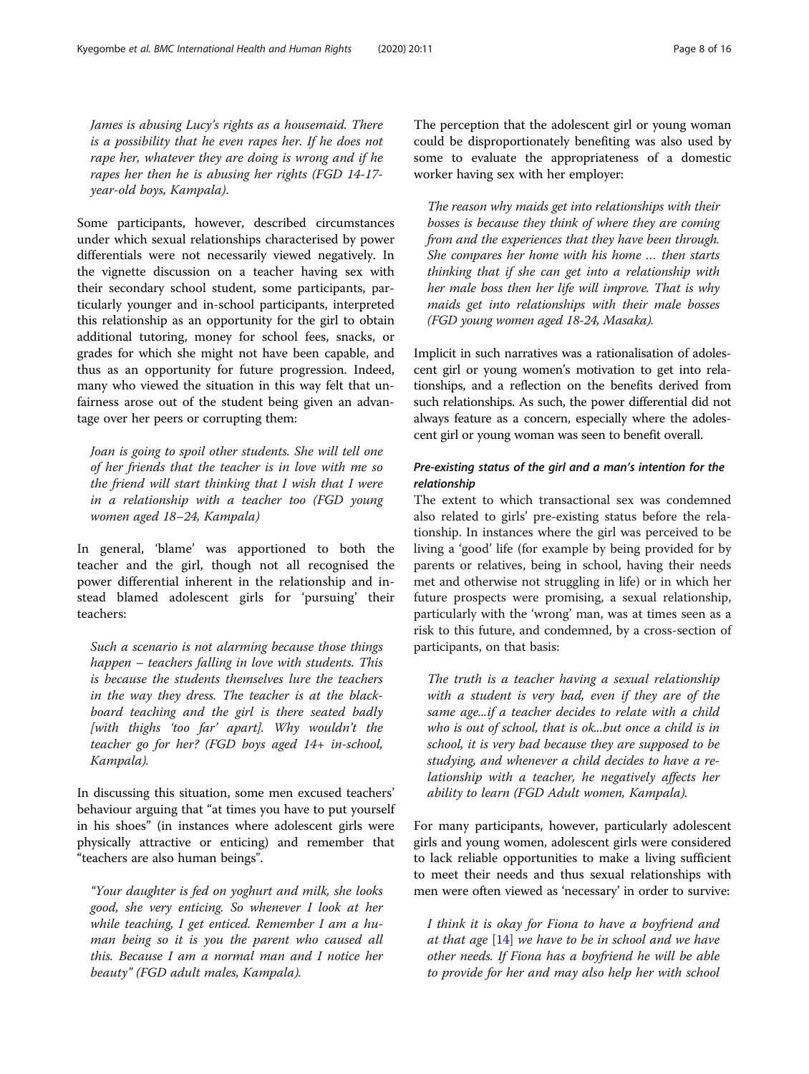James is abusing Lucy's rights as a housemaid. There is a possibility that he even rapes her. If he does not rape her, whatever they are doing is wrong and if he rapes her then he is abusing her rights (FGD 14-17 year-old boys, Kampala).

Some participants, however, described circumstances under which sexual relationships characterised by power differentials were not necessarily viewed negatively. In the vignette discussion on a teacher having sex with their secondary school student, some participants, particularly younger and in-school participants, interpreted this relationship as an opportunity for the girl to obtain additional tutoring, money for school fees, snacks, or grades for which she might not have been capable, and thus as an opportunity for future progression. Indeed, many who viewed the situation in this way felt that unfairness arose out of the student being given an advantage over her peers or corrupting them:

Joan is going to spoil other students. She will tell one of her friends that the teacher is in love with me so the friend will start thinking that I wish that I were in a relationship with a teacher too (FGD young women aged 18–24, Kampala)

In general, 'blame' was apportioned to both the teacher and the girl, though not all recognised the power differential inherent in the relationship and instead blamed adolescent girls for 'pursuing' their teachers:

Such a scenario is not alarming because those things happen – teachers falling in love with students. This is because the students themselves lure the teachers in the way they dress. The teacher is at the blackboard teaching and the girl is there seated badly [with thighs 'too far' apart]. Why wouldn't the teacher go for her? (FGD boys aged 14+ in-school, Kampala).

In discussing this situation, some men excused teachers' behaviour arguing that "at times you have to put yourself in his shoes" (in instances where adolescent girls were physically attractive or enticing) and remember that "teachers are also human beings".

"Your daughter is fed on yoghurt and milk, she looks good, she very enticing. So whenever I look at her while teaching, I get enticed. Remember I am a human being so it is you the parent who caused all this. Because I am a normal man and I notice her beauty" (FGD adult males, Kampala).

The perception that the adolescent girl or young woman could be disproportionately benefiting was also used by some to evaluate the appropriateness of a domestic worker having sex with her employer:

The reason why maids get into relationships with their bosses is because they think of where they are coming from and the experiences that they have been through. She compares her home with his home … then starts thinking that if she can get into a relationship with her male boss then her life will improve. That is why maids get into relationships with their male bosses (FGD young women aged 18-24, Masaka).

Implicit in such narratives was a rationalisation of adolescent girl or young women's motivation to get into relationships, and a reflection on the benefits derived from such relationships. As such, the power differential did not always feature as a concern, especially where the adolescent girl or young woman was seen to benefit overall.

## Pre-existing status of the girl and a man's intention for the relationship

The extent to which transactional sex was condemned also related to girls' pre-existing status before the relationship. In instances where the girl was perceived to be living a 'good' life (for example by being provided for by parents or relatives, being in school, having their needs met and otherwise not struggling in life) or in which her future prospects were promising, a sexual relationship, particularly with the 'wrong' man, was at times seen as a risk to this future, and condemned, by a cross-section of participants, on that basis:

The truth is a teacher having a sexual relationship with a student is very bad, even if they are of the same age...if a teacher decides to relate with a child who is out of school, that is ok...but once a child is in school, it is very bad because they are supposed to be studying, and whenever a child decides to have a relationship with a teacher, he negatively affects her ability to learn (FGD Adult women, Kampala).

For many participants, however, particularly adolescent girls and young women, adolescent girls were considered to lack reliable opportunities to make a living sufficient to meet their needs and thus sexual relationships with men were often viewed as 'necessary' in order to survive:

I think it is okay for Fiona to have a boyfriend and at that age  $[14]$  $[14]$  we have to be in school and we have other needs. If Fiona has a boyfriend he will be able to provide for her and may also help her with school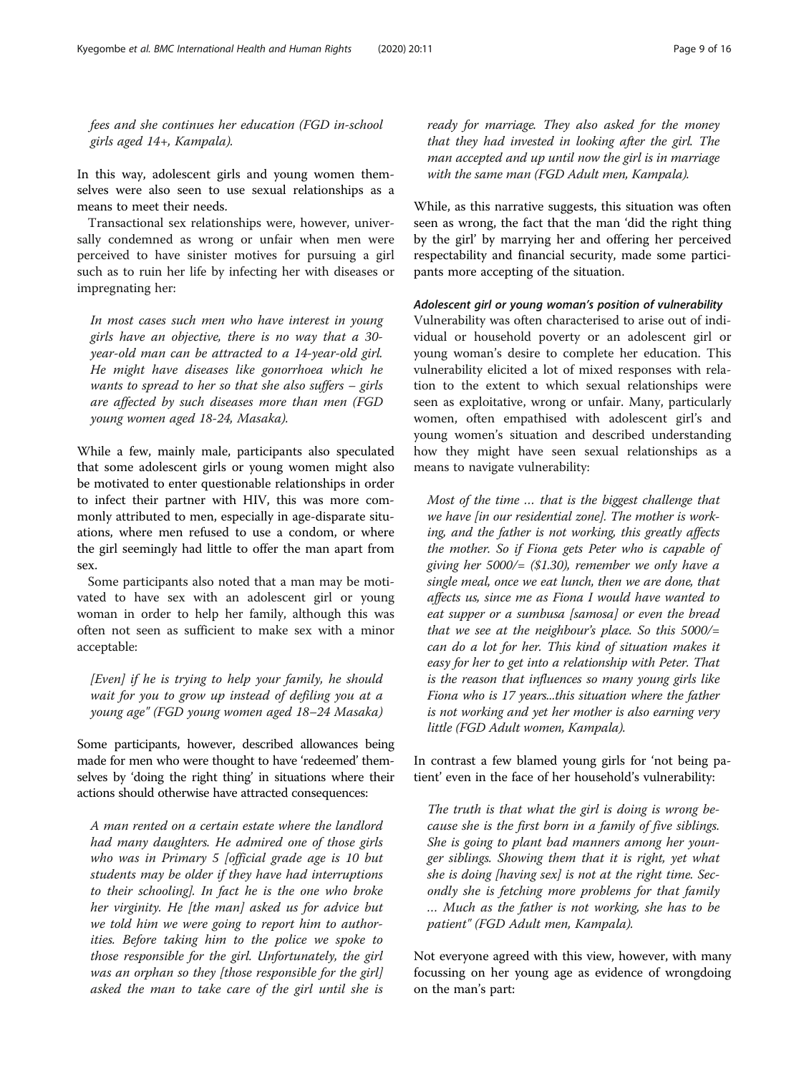fees and she continues her education (FGD in-school girls aged 14+, Kampala).

In this way, adolescent girls and young women themselves were also seen to use sexual relationships as a means to meet their needs.

Transactional sex relationships were, however, universally condemned as wrong or unfair when men were perceived to have sinister motives for pursuing a girl such as to ruin her life by infecting her with diseases or impregnating her:

In most cases such men who have interest in young girls have an objective, there is no way that a 30 year-old man can be attracted to a 14-year-old girl. He might have diseases like gonorrhoea which he wants to spread to her so that she also suffers – girls are affected by such diseases more than men (FGD young women aged 18-24, Masaka).

While a few, mainly male, participants also speculated that some adolescent girls or young women might also be motivated to enter questionable relationships in order to infect their partner with HIV, this was more commonly attributed to men, especially in age-disparate situations, where men refused to use a condom, or where the girl seemingly had little to offer the man apart from sex.

Some participants also noted that a man may be motivated to have sex with an adolescent girl or young woman in order to help her family, although this was often not seen as sufficient to make sex with a minor acceptable:

[Even] if he is trying to help your family, he should wait for you to grow up instead of defiling you at a young age" (FGD young women aged 18–24 Masaka)

Some participants, however, described allowances being made for men who were thought to have 'redeemed' themselves by 'doing the right thing' in situations where their actions should otherwise have attracted consequences:

A man rented on a certain estate where the landlord had many daughters. He admired one of those girls who was in Primary 5 [official grade age is 10 but students may be older if they have had interruptions to their schooling]. In fact he is the one who broke her virginity. He [the man] asked us for advice but we told him we were going to report him to authorities. Before taking him to the police we spoke to those responsible for the girl. Unfortunately, the girl was an orphan so they [those responsible for the girl] asked the man to take care of the girl until she is

ready for marriage. They also asked for the money that they had invested in looking after the girl. The man accepted and up until now the girl is in marriage with the same man (FGD Adult men, Kampala).

While, as this narrative suggests, this situation was often seen as wrong, the fact that the man 'did the right thing by the girl' by marrying her and offering her perceived respectability and financial security, made some participants more accepting of the situation.

#### Adolescent girl or young woman's position of vulnerability

Vulnerability was often characterised to arise out of individual or household poverty or an adolescent girl or young woman's desire to complete her education. This vulnerability elicited a lot of mixed responses with relation to the extent to which sexual relationships were seen as exploitative, wrong or unfair. Many, particularly women, often empathised with adolescent girl's and young women's situation and described understanding how they might have seen sexual relationships as a means to navigate vulnerability:

Most of the time … that is the biggest challenge that we have [in our residential zone]. The mother is working, and the father is not working, this greatly affects the mother. So if Fiona gets Peter who is capable of giving her 5000/= (\$1.30), remember we only have a single meal, once we eat lunch, then we are done, that affects us, since me as Fiona I would have wanted to eat supper or a sumbusa [samosa] or even the bread that we see at the neighbour's place. So this  $5000/$ = can do a lot for her. This kind of situation makes it easy for her to get into a relationship with Peter. That is the reason that influences so many young girls like Fiona who is 17 years...this situation where the father is not working and yet her mother is also earning very little (FGD Adult women, Kampala).

In contrast a few blamed young girls for 'not being patient' even in the face of her household's vulnerability:

The truth is that what the girl is doing is wrong because she is the first born in a family of five siblings. She is going to plant bad manners among her younger siblings. Showing them that it is right, yet what she is doing [having sex] is not at the right time. Secondly she is fetching more problems for that family … Much as the father is not working, she has to be patient" (FGD Adult men, Kampala).

Not everyone agreed with this view, however, with many focussing on her young age as evidence of wrongdoing on the man's part: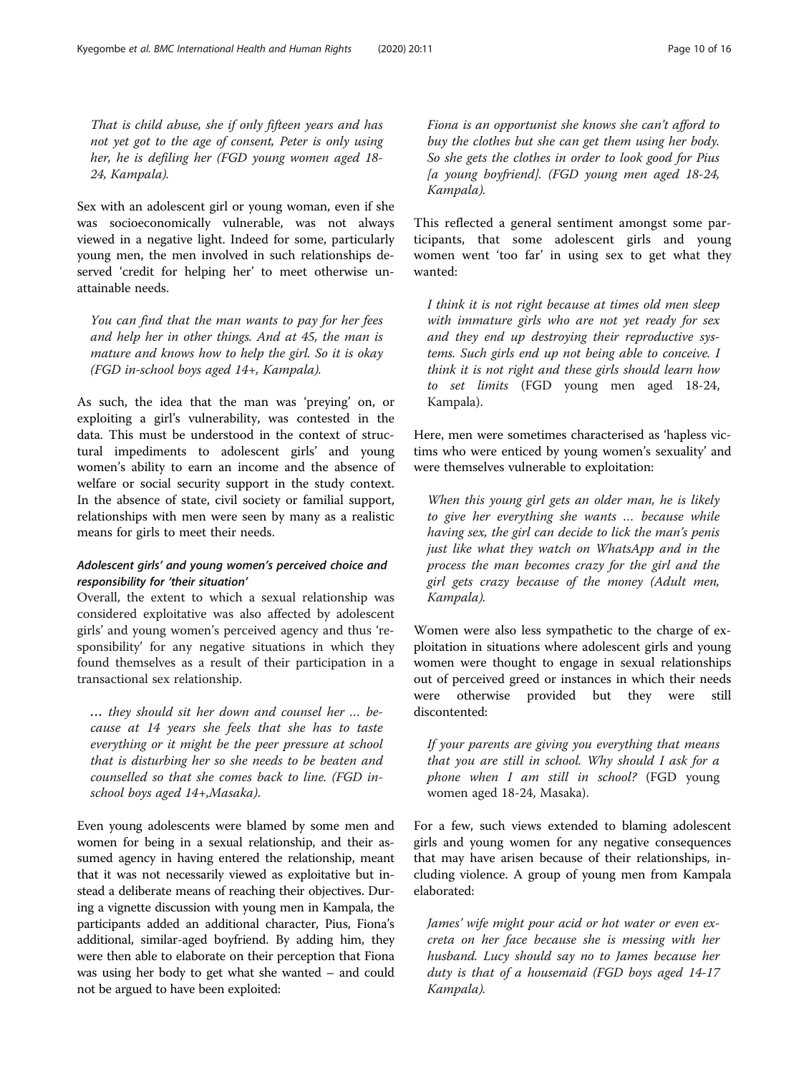That is child abuse, she if only fifteen years and has not yet got to the age of consent, Peter is only using her, he is defiling her (FGD young women aged 18- 24, Kampala).

Sex with an adolescent girl or young woman, even if she was socioeconomically vulnerable, was not always viewed in a negative light. Indeed for some, particularly young men, the men involved in such relationships deserved 'credit for helping her' to meet otherwise unattainable needs.

You can find that the man wants to pay for her fees and help her in other things. And at 45, the man is mature and knows how to help the girl. So it is okay (FGD in-school boys aged 14+, Kampala).

As such, the idea that the man was 'preying' on, or exploiting a girl's vulnerability, was contested in the data. This must be understood in the context of structural impediments to adolescent girls' and young women's ability to earn an income and the absence of welfare or social security support in the study context. In the absence of state, civil society or familial support, relationships with men were seen by many as a realistic means for girls to meet their needs.

## Adolescent girls' and young women's perceived choice and responsibility for 'their situation'

Overall, the extent to which a sexual relationship was considered exploitative was also affected by adolescent girls' and young women's perceived agency and thus 'responsibility' for any negative situations in which they found themselves as a result of their participation in a transactional sex relationship.

… they should sit her down and counsel her … because at 14 years she feels that she has to taste everything or it might be the peer pressure at school that is disturbing her so she needs to be beaten and counselled so that she comes back to line. (FGD inschool boys aged 14+,Masaka).

Even young adolescents were blamed by some men and women for being in a sexual relationship, and their assumed agency in having entered the relationship, meant that it was not necessarily viewed as exploitative but instead a deliberate means of reaching their objectives. During a vignette discussion with young men in Kampala, the participants added an additional character, Pius, Fiona's additional, similar-aged boyfriend. By adding him, they were then able to elaborate on their perception that Fiona was using her body to get what she wanted – and could not be argued to have been exploited:

Fiona is an opportunist she knows she can't afford to buy the clothes but she can get them using her body. So she gets the clothes in order to look good for Pius [a young boyfriend]. (FGD young men aged 18-24, Kampala).

This reflected a general sentiment amongst some participants, that some adolescent girls and young women went 'too far' in using sex to get what they wanted:

I think it is not right because at times old men sleep with immature girls who are not yet ready for sex and they end up destroying their reproductive systems. Such girls end up not being able to conceive. I think it is not right and these girls should learn how to set limits (FGD young men aged 18-24, Kampala).

Here, men were sometimes characterised as 'hapless victims who were enticed by young women's sexuality' and were themselves vulnerable to exploitation:

When this young girl gets an older man, he is likely to give her everything she wants … because while having sex, the girl can decide to lick the man's penis just like what they watch on WhatsApp and in the process the man becomes crazy for the girl and the girl gets crazy because of the money (Adult men, Kampala).

Women were also less sympathetic to the charge of exploitation in situations where adolescent girls and young women were thought to engage in sexual relationships out of perceived greed or instances in which their needs were otherwise provided but they were still discontented:

If your parents are giving you everything that means that you are still in school. Why should I ask for a phone when I am still in school? (FGD young women aged 18-24, Masaka).

For a few, such views extended to blaming adolescent girls and young women for any negative consequences that may have arisen because of their relationships, including violence. A group of young men from Kampala elaborated:

James' wife might pour acid or hot water or even excreta on her face because she is messing with her husband. Lucy should say no to James because her duty is that of a housemaid (FGD boys aged 14-17 Kampala).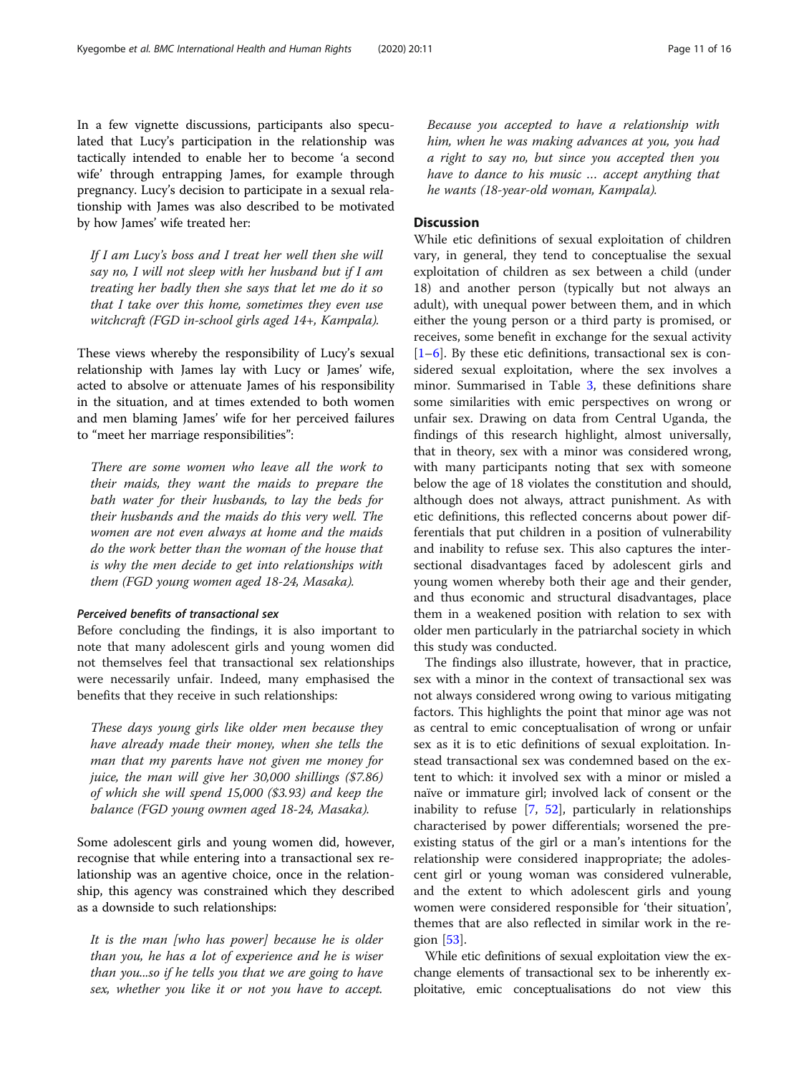In a few vignette discussions, participants also speculated that Lucy's participation in the relationship was tactically intended to enable her to become 'a second wife' through entrapping James, for example through pregnancy. Lucy's decision to participate in a sexual relationship with James was also described to be motivated by how James' wife treated her:

If I am Lucy's boss and I treat her well then she will say no, I will not sleep with her husband but if I am treating her badly then she says that let me do it so that I take over this home, sometimes they even use witchcraft (FGD in-school girls aged 14+, Kampala).

These views whereby the responsibility of Lucy's sexual relationship with James lay with Lucy or James' wife, acted to absolve or attenuate James of his responsibility in the situation, and at times extended to both women and men blaming James' wife for her perceived failures to "meet her marriage responsibilities":

There are some women who leave all the work to their maids, they want the maids to prepare the bath water for their husbands, to lay the beds for their husbands and the maids do this very well. The women are not even always at home and the maids do the work better than the woman of the house that is why the men decide to get into relationships with them (FGD young women aged 18-24, Masaka).

## Perceived benefits of transactional sex

Before concluding the findings, it is also important to note that many adolescent girls and young women did not themselves feel that transactional sex relationships were necessarily unfair. Indeed, many emphasised the benefits that they receive in such relationships:

These days young girls like older men because they have already made their money, when she tells the man that my parents have not given me money for juice, the man will give her 30,000 shillings (\$7.86) of which she will spend 15,000 (\$3.93) and keep the balance (FGD young owmen aged 18-24, Masaka).

Some adolescent girls and young women did, however, recognise that while entering into a transactional sex relationship was an agentive choice, once in the relationship, this agency was constrained which they described as a downside to such relationships:

It is the man [who has power] because he is older than you, he has a lot of experience and he is wiser than you...so if he tells you that we are going to have sex, whether you like it or not you have to accept.

Because you accepted to have a relationship with him, when he was making advances at you, you had a right to say no, but since you accepted then you have to dance to his music … accept anything that he wants (18-year-old woman, Kampala).

## **Discussion**

While etic definitions of sexual exploitation of children vary, in general, they tend to conceptualise the sexual exploitation of children as sex between a child (under 18) and another person (typically but not always an adult), with unequal power between them, and in which either the young person or a third party is promised, or receives, some benefit in exchange for the sexual activity  $[1-6]$  $[1-6]$  $[1-6]$  $[1-6]$ . By these etic definitions, transactional sex is considered sexual exploitation, where the sex involves a minor. Summarised in Table [3,](#page-11-0) these definitions share some similarities with emic perspectives on wrong or unfair sex. Drawing on data from Central Uganda, the findings of this research highlight, almost universally, that in theory, sex with a minor was considered wrong, with many participants noting that sex with someone below the age of 18 violates the constitution and should, although does not always, attract punishment. As with etic definitions, this reflected concerns about power differentials that put children in a position of vulnerability and inability to refuse sex. This also captures the intersectional disadvantages faced by adolescent girls and young women whereby both their age and their gender, and thus economic and structural disadvantages, place them in a weakened position with relation to sex with older men particularly in the patriarchal society in which this study was conducted.

The findings also illustrate, however, that in practice, sex with a minor in the context of transactional sex was not always considered wrong owing to various mitigating factors. This highlights the point that minor age was not as central to emic conceptualisation of wrong or unfair sex as it is to etic definitions of sexual exploitation. Instead transactional sex was condemned based on the extent to which: it involved sex with a minor or misled a naïve or immature girl; involved lack of consent or the inability to refuse [\[7](#page-14-0), [52](#page-15-0)], particularly in relationships characterised by power differentials; worsened the preexisting status of the girl or a man's intentions for the relationship were considered inappropriate; the adolescent girl or young woman was considered vulnerable, and the extent to which adolescent girls and young women were considered responsible for 'their situation', themes that are also reflected in similar work in the region [[53](#page-15-0)].

While etic definitions of sexual exploitation view the exchange elements of transactional sex to be inherently exploitative, emic conceptualisations do not view this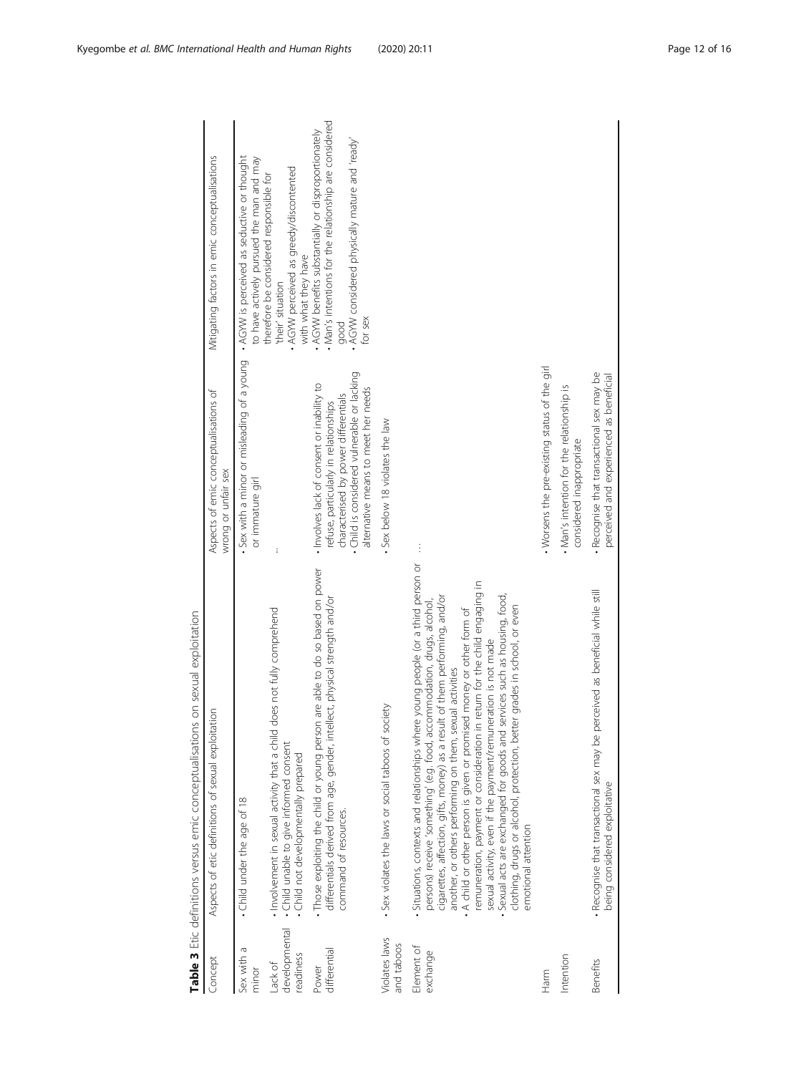<span id="page-11-0"></span>

|                                       | Table 3 Etic definitions versus emic conceptualisations on sexual exploitation                                                                                                                                                                                                                                                                                                                                                                                                                                                                                                                                                                                                                              |                                                                                                                                                                                                                 |                                                                                                                                                                                   |
|---------------------------------------|-------------------------------------------------------------------------------------------------------------------------------------------------------------------------------------------------------------------------------------------------------------------------------------------------------------------------------------------------------------------------------------------------------------------------------------------------------------------------------------------------------------------------------------------------------------------------------------------------------------------------------------------------------------------------------------------------------------|-----------------------------------------------------------------------------------------------------------------------------------------------------------------------------------------------------------------|-----------------------------------------------------------------------------------------------------------------------------------------------------------------------------------|
| Concept                               | Aspects of etic definitions of sexual exploitation                                                                                                                                                                                                                                                                                                                                                                                                                                                                                                                                                                                                                                                          | Aspects of emic conceptualisations of<br>wrong or unfair sex                                                                                                                                                    | Mitigating factors in emic conceptualisations                                                                                                                                     |
| Sex with a<br>minor                   | • Child under the age of 18                                                                                                                                                                                                                                                                                                                                                                                                                                                                                                                                                                                                                                                                                 | Sex with a minor or misleading of a young<br>or immature girl                                                                                                                                                   | • AGYW is perceived as seductive or thought<br>to have actively pursued the man and may                                                                                           |
| developmental<br>readiness<br>Lack of | does not fully comprehend<br>Involvement in sexual activity that a child<br>. Child unable to give informed consent<br>Child not developmentally prepared                                                                                                                                                                                                                                                                                                                                                                                                                                                                                                                                                   | į                                                                                                                                                                                                               | AGYW perceived as greedy/discontented<br>therefore be considered responsible for<br>with what they have<br>their' situation                                                       |
| differential<br>Power                 | . Those exploiting the child or young person are able to do so based on power<br>differentials derived from age, gender, intellect, physical strength and/or<br>command of resources.                                                                                                                                                                                                                                                                                                                                                                                                                                                                                                                       | Child is considered vulnerable or lacking<br>. Involves lack of consent or inability to<br>alternative means to meet her needs<br>characterised by power differentials<br>refuse, particularly in relationships | . Man's intentions for the relationship are considered<br>. AGYW benefits substantially or disproportionately<br>AGYW considered physically mature and 'ready'<br>for sex<br>good |
| Violates laws<br>and taboos           | Sex violates the laws or social taboos of society                                                                                                                                                                                                                                                                                                                                                                                                                                                                                                                                                                                                                                                           | Sex below 18 violates the law                                                                                                                                                                                   |                                                                                                                                                                                   |
| Element of<br>exchange                | Situations, contexts and relationships where young people (or a third person or<br>remuneration, payment or consideration in return for the child engaging in<br>Sexual acts are exchanged for goods and services such as housing, food,<br>cigarettes, affection, gifts, money) as a result of them performing, and/or<br>persons) receive 'something' (e.g. food, accommodation, drugs, alcohol,<br>clothing, drugs or alcohol, protection, better grades in school, or even<br>. A child or other person is given or promised money or other form of<br>sexual activity, even if the payment/remuneration is not made<br>another, or others performing on them, sexual activities<br>emotional attention | $\vdots$                                                                                                                                                                                                        |                                                                                                                                                                                   |
| Harm                                  |                                                                                                                                                                                                                                                                                                                                                                                                                                                                                                                                                                                                                                                                                                             | . Worsens the pre-existing status of the girl                                                                                                                                                                   |                                                                                                                                                                                   |
| Intention                             |                                                                                                                                                                                                                                                                                                                                                                                                                                                                                                                                                                                                                                                                                                             | . Man's intention for the relationship is<br>considered inappropriate                                                                                                                                           |                                                                                                                                                                                   |
| Benefits                              | · Recognise that transactional sex may be perceived as beneficial while still<br>being considered exploitative                                                                                                                                                                                                                                                                                                                                                                                                                                                                                                                                                                                              | . Recognise that transactional sex may be<br>perceived and experienced as beneficial                                                                                                                            |                                                                                                                                                                                   |
|                                       |                                                                                                                                                                                                                                                                                                                                                                                                                                                                                                                                                                                                                                                                                                             |                                                                                                                                                                                                                 |                                                                                                                                                                                   |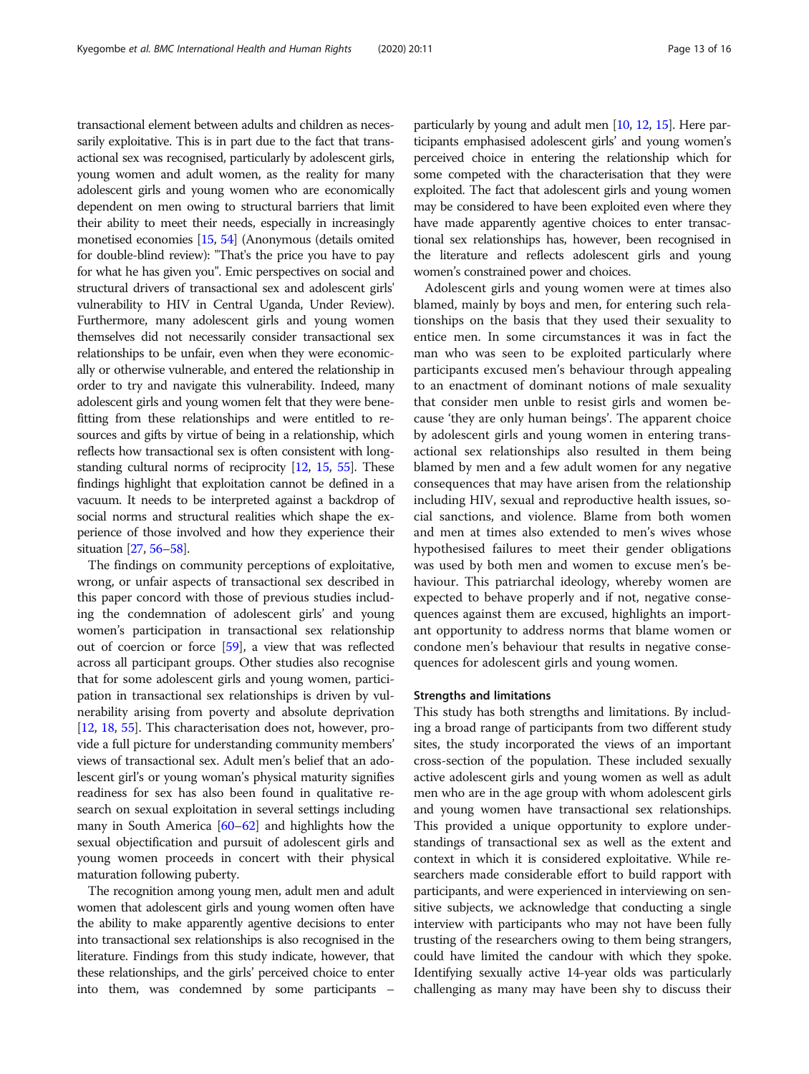transactional element between adults and children as necessarily exploitative. This is in part due to the fact that transactional sex was recognised, particularly by adolescent girls, young women and adult women, as the reality for many adolescent girls and young women who are economically dependent on men owing to structural barriers that limit their ability to meet their needs, especially in increasingly monetised economies [\[15](#page-14-0), [54\]](#page-15-0) (Anonymous (details omited for double-blind review): "That's the price you have to pay for what he has given you". Emic perspectives on social and structural drivers of transactional sex and adolescent girls' vulnerability to HIV in Central Uganda, Under Review). Furthermore, many adolescent girls and young women themselves did not necessarily consider transactional sex relationships to be unfair, even when they were economically or otherwise vulnerable, and entered the relationship in order to try and navigate this vulnerability. Indeed, many adolescent girls and young women felt that they were benefitting from these relationships and were entitled to resources and gifts by virtue of being in a relationship, which reflects how transactional sex is often consistent with longstanding cultural norms of reciprocity [\[12,](#page-14-0) [15](#page-14-0), [55\]](#page-15-0). These findings highlight that exploitation cannot be defined in a vacuum. It needs to be interpreted against a backdrop of social norms and structural realities which shape the experience of those involved and how they experience their situation [\[27,](#page-14-0) [56](#page-15-0)–[58\]](#page-15-0).

The findings on community perceptions of exploitative, wrong, or unfair aspects of transactional sex described in this paper concord with those of previous studies including the condemnation of adolescent girls' and young women's participation in transactional sex relationship out of coercion or force [\[59\]](#page-15-0), a view that was reflected across all participant groups. Other studies also recognise that for some adolescent girls and young women, participation in transactional sex relationships is driven by vulnerability arising from poverty and absolute deprivation [[12](#page-14-0), [18](#page-14-0), [55\]](#page-15-0). This characterisation does not, however, provide a full picture for understanding community members' views of transactional sex. Adult men's belief that an adolescent girl's or young woman's physical maturity signifies readiness for sex has also been found in qualitative research on sexual exploitation in several settings including many in South America  $[60-62]$  $[60-62]$  $[60-62]$  $[60-62]$  and highlights how the sexual objectification and pursuit of adolescent girls and young women proceeds in concert with their physical maturation following puberty.

The recognition among young men, adult men and adult women that adolescent girls and young women often have the ability to make apparently agentive decisions to enter into transactional sex relationships is also recognised in the literature. Findings from this study indicate, however, that these relationships, and the girls' perceived choice to enter into them, was condemned by some participants –

particularly by young and adult men [\[10,](#page-14-0) [12,](#page-14-0) [15](#page-14-0)]. Here participants emphasised adolescent girls' and young women's perceived choice in entering the relationship which for some competed with the characterisation that they were exploited. The fact that adolescent girls and young women may be considered to have been exploited even where they have made apparently agentive choices to enter transactional sex relationships has, however, been recognised in the literature and reflects adolescent girls and young women's constrained power and choices.

Adolescent girls and young women were at times also blamed, mainly by boys and men, for entering such relationships on the basis that they used their sexuality to entice men. In some circumstances it was in fact the man who was seen to be exploited particularly where participants excused men's behaviour through appealing to an enactment of dominant notions of male sexuality that consider men unble to resist girls and women because 'they are only human beings'. The apparent choice by adolescent girls and young women in entering transactional sex relationships also resulted in them being blamed by men and a few adult women for any negative consequences that may have arisen from the relationship including HIV, sexual and reproductive health issues, social sanctions, and violence. Blame from both women and men at times also extended to men's wives whose hypothesised failures to meet their gender obligations was used by both men and women to excuse men's behaviour. This patriarchal ideology, whereby women are expected to behave properly and if not, negative consequences against them are excused, highlights an important opportunity to address norms that blame women or condone men's behaviour that results in negative consequences for adolescent girls and young women.

#### Strengths and limitations

This study has both strengths and limitations. By including a broad range of participants from two different study sites, the study incorporated the views of an important cross-section of the population. These included sexually active adolescent girls and young women as well as adult men who are in the age group with whom adolescent girls and young women have transactional sex relationships. This provided a unique opportunity to explore understandings of transactional sex as well as the extent and context in which it is considered exploitative. While researchers made considerable effort to build rapport with participants, and were experienced in interviewing on sensitive subjects, we acknowledge that conducting a single interview with participants who may not have been fully trusting of the researchers owing to them being strangers, could have limited the candour with which they spoke. Identifying sexually active 14-year olds was particularly challenging as many may have been shy to discuss their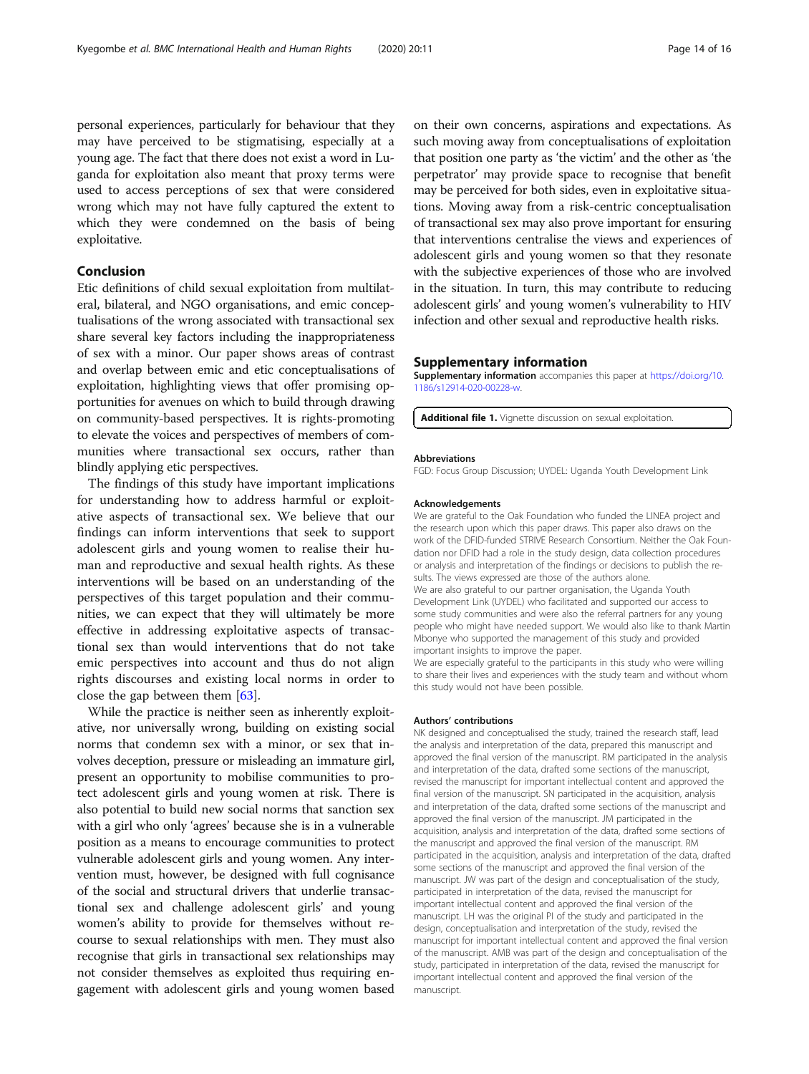<span id="page-13-0"></span>personal experiences, particularly for behaviour that they may have perceived to be stigmatising, especially at a young age. The fact that there does not exist a word in Luganda for exploitation also meant that proxy terms were used to access perceptions of sex that were considered wrong which may not have fully captured the extent to which they were condemned on the basis of being exploitative.

## Conclusion

Etic definitions of child sexual exploitation from multilateral, bilateral, and NGO organisations, and emic conceptualisations of the wrong associated with transactional sex share several key factors including the inappropriateness of sex with a minor. Our paper shows areas of contrast and overlap between emic and etic conceptualisations of exploitation, highlighting views that offer promising opportunities for avenues on which to build through drawing on community-based perspectives. It is rights-promoting to elevate the voices and perspectives of members of communities where transactional sex occurs, rather than blindly applying etic perspectives.

The findings of this study have important implications for understanding how to address harmful or exploitative aspects of transactional sex. We believe that our findings can inform interventions that seek to support adolescent girls and young women to realise their human and reproductive and sexual health rights. As these interventions will be based on an understanding of the perspectives of this target population and their communities, we can expect that they will ultimately be more effective in addressing exploitative aspects of transactional sex than would interventions that do not take emic perspectives into account and thus do not align rights discourses and existing local norms in order to close the gap between them [[63\]](#page-15-0).

While the practice is neither seen as inherently exploitative, nor universally wrong, building on existing social norms that condemn sex with a minor, or sex that involves deception, pressure or misleading an immature girl, present an opportunity to mobilise communities to protect adolescent girls and young women at risk. There is also potential to build new social norms that sanction sex with a girl who only 'agrees' because she is in a vulnerable position as a means to encourage communities to protect vulnerable adolescent girls and young women. Any intervention must, however, be designed with full cognisance of the social and structural drivers that underlie transactional sex and challenge adolescent girls' and young women's ability to provide for themselves without recourse to sexual relationships with men. They must also recognise that girls in transactional sex relationships may not consider themselves as exploited thus requiring engagement with adolescent girls and young women based

on their own concerns, aspirations and expectations. As such moving away from conceptualisations of exploitation that position one party as 'the victim' and the other as 'the perpetrator' may provide space to recognise that benefit may be perceived for both sides, even in exploitative situations. Moving away from a risk-centric conceptualisation of transactional sex may also prove important for ensuring that interventions centralise the views and experiences of adolescent girls and young women so that they resonate with the subjective experiences of those who are involved in the situation. In turn, this may contribute to reducing adolescent girls' and young women's vulnerability to HIV infection and other sexual and reproductive health risks.

## Supplementary information

Supplementary information accompanies this paper at [https://doi.org/10.](https://doi.org/10.1186/s12914-020-00228-w) [1186/s12914-020-00228-w](https://doi.org/10.1186/s12914-020-00228-w).

Additional file 1. Vignette discussion on sexual exploitation.

#### Abbreviations

FGD: Focus Group Discussion; UYDEL: Uganda Youth Development Link

#### Acknowledgements

We are grateful to the Oak Foundation who funded the LINEA project and the research upon which this paper draws. This paper also draws on the work of the DFID-funded STRIVE Research Consortium. Neither the Oak Foundation nor DFID had a role in the study design, data collection procedures or analysis and interpretation of the findings or decisions to publish the results. The views expressed are those of the authors alone. We are also grateful to our partner organisation, the Uganda Youth Development Link (UYDEL) who facilitated and supported our access to some study communities and were also the referral partners for any young people who might have needed support. We would also like to thank Martin Mbonye who supported the management of this study and provided important insights to improve the paper.

We are especially grateful to the participants in this study who were willing to share their lives and experiences with the study team and without whom this study would not have been possible.

#### Authors' contributions

NK designed and conceptualised the study, trained the research staff, lead the analysis and interpretation of the data, prepared this manuscript and approved the final version of the manuscript. RM participated in the analysis and interpretation of the data, drafted some sections of the manuscript, revised the manuscript for important intellectual content and approved the final version of the manuscript. SN participated in the acquisition, analysis and interpretation of the data, drafted some sections of the manuscript and approved the final version of the manuscript. JM participated in the acquisition, analysis and interpretation of the data, drafted some sections of the manuscript and approved the final version of the manuscript. RM participated in the acquisition, analysis and interpretation of the data, drafted some sections of the manuscript and approved the final version of the manuscript. JW was part of the design and conceptualisation of the study, participated in interpretation of the data, revised the manuscript for important intellectual content and approved the final version of the manuscript. LH was the original PI of the study and participated in the design, conceptualisation and interpretation of the study, revised the manuscript for important intellectual content and approved the final version of the manuscript. AMB was part of the design and conceptualisation of the study, participated in interpretation of the data, revised the manuscript for important intellectual content and approved the final version of the manuscript.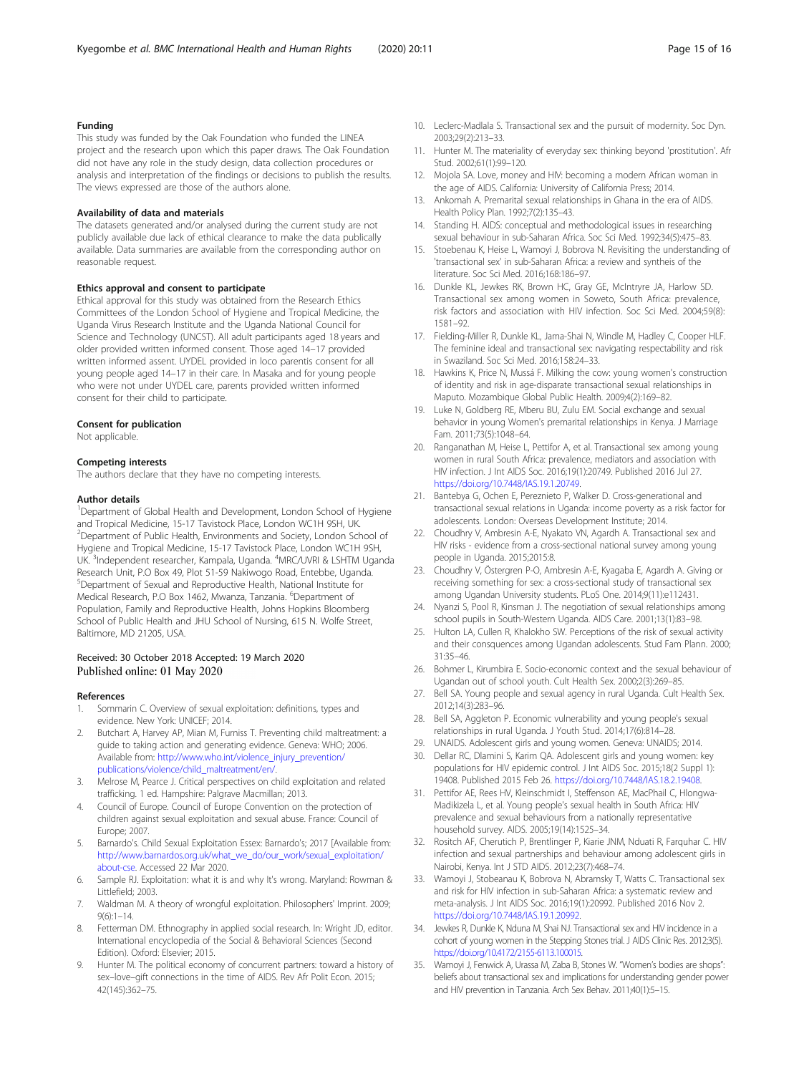## <span id="page-14-0"></span>Funding

This study was funded by the Oak Foundation who funded the LINEA project and the research upon which this paper draws. The Oak Foundation did not have any role in the study design, data collection procedures or analysis and interpretation of the findings or decisions to publish the results. The views expressed are those of the authors alone.

#### Availability of data and materials

The datasets generated and/or analysed during the current study are not publicly available due lack of ethical clearance to make the data publically available. Data summaries are available from the corresponding author on reasonable request.

#### Ethics approval and consent to participate

Ethical approval for this study was obtained from the Research Ethics Committees of the London School of Hygiene and Tropical Medicine, the Uganda Virus Research Institute and the Uganda National Council for Science and Technology (UNCST). All adult participants aged 18 years and older provided written informed consent. Those aged 14–17 provided written informed assent. UYDEL provided in loco parentis consent for all young people aged 14–17 in their care. In Masaka and for young people who were not under UYDEL care, parents provided written informed consent for their child to participate.

#### Consent for publication

Not applicable.

#### Competing interests

The authors declare that they have no competing interests.

#### Author details

<sup>1</sup>Department of Global Health and Development, London School of Hygiene and Tropical Medicine, 15-17 Tavistock Place, London WC1H 9SH, UK. <sup>2</sup> Department of Public Health, Environments and Society, London School of Hygiene and Tropical Medicine, 15-17 Tavistock Place, London WC1H 9SH, UK. <sup>3</sup>Independent researcher, Kampala, Uganda. <sup>4</sup>MRC/UVRI & LSHTM Uganda Research Unit, P.O Box 49, Plot 51-59 Nakiwogo Road, Entebbe, Uganda. 5 Department of Sexual and Reproductive Health, National Institute for Medical Research, P.O Box 1462, Mwanza, Tanzania. <sup>6</sup>Department of Population, Family and Reproductive Health, Johns Hopkins Bloomberg School of Public Health and JHU School of Nursing, 615 N. Wolfe Street, Baltimore, MD 21205, USA.

#### Received: 30 October 2018 Accepted: 19 March 2020 Published online: 01 May 2020

#### References

- 1. Sommarin C. Overview of sexual exploitation: definitions, types and evidence. New York: UNICEF; 2014.
- 2. Butchart A, Harvey AP, Mian M, Furniss T. Preventing child maltreatment: a guide to taking action and generating evidence. Geneva: WHO; 2006. Available from: [http://www.who.int/violence\\_injury\\_prevention/](http://www.who.int/violence_injury_prevention/publications/violence/child_maltreatment/en/) [publications/violence/child\\_maltreatment/en/.](http://www.who.int/violence_injury_prevention/publications/violence/child_maltreatment/en/)
- 3. Melrose M, Pearce J. Critical perspectives on child exploitation and related trafficking. 1 ed. Hampshire: Palgrave Macmillan; 2013.
- 4. Council of Europe. Council of Europe Convention on the protection of children against sexual exploitation and sexual abuse. France: Council of Europe; 2007.
- 5. Barnardo's. Child Sexual Exploitation Essex: Barnardo's; 2017 [Available from: [http://www.barnardos.org.uk/what\\_we\\_do/our\\_work/sexual\\_exploitation/](http://www.barnardos.org.uk/what_we_do/our_work/sexual_exploitation/about-cse) [about-cse.](http://www.barnardos.org.uk/what_we_do/our_work/sexual_exploitation/about-cse) Accessed 22 Mar 2020.
- 6. Sample RJ. Exploitation: what it is and why It's wrong. Maryland: Rowman & Littlefield; 2003.
- 7. Waldman M. A theory of wrongful exploitation. Philosophers' Imprint. 2009; 9(6):1–14.
- 8. Fetterman DM. Ethnography in applied social research. In: Wright JD, editor. International encyclopedia of the Social & Behavioral Sciences (Second Edition). Oxford: Elsevier; 2015.
- 9. Hunter M. The political economy of concurrent partners: toward a history of sex–love–gift connections in the time of AIDS. Rev Afr Polit Econ. 2015; 42(145):362–75.
- 10. Leclerc-Madlala S. Transactional sex and the pursuit of modernity. Soc Dyn. 2003;29(2):213–33.
- 11. Hunter M. The materiality of everyday sex: thinking beyond 'prostitution'. Afr Stud. 2002;61(1):99–120.
- 12. Mojola SA. Love, money and HIV: becoming a modern African woman in the age of AIDS. California: University of California Press; 2014.
- 13. Ankomah A. Premarital sexual relationships in Ghana in the era of AIDS. Health Policy Plan. 1992;7(2):135–43.
- 14. Standing H. AIDS: conceptual and methodological issues in researching sexual behaviour in sub-Saharan Africa. Soc Sci Med. 1992;34(5):475–83.
- 15. Stoebenau K, Heise L, Wamoyi J, Bobrova N. Revisiting the understanding of 'transactional sex' in sub-Saharan Africa: a review and syntheis of the literature. Soc Sci Med. 2016;168:186–97.
- 16. Dunkle KL, Jewkes RK, Brown HC, Gray GE, McIntryre JA, Harlow SD. Transactional sex among women in Soweto, South Africa: prevalence, risk factors and association with HIV infection. Soc Sci Med. 2004;59(8): 1581–92.
- 17. Fielding-Miller R, Dunkle KL, Jama-Shai N, Windle M, Hadley C, Cooper HLF. The feminine ideal and transactional sex: navigating respectability and risk in Swaziland. Soc Sci Med. 2016;158:24–33.
- 18. Hawkins K, Price N, Mussá F. Milking the cow: young women's construction of identity and risk in age-disparate transactional sexual relationships in Maputo. Mozambique Global Public Health. 2009;4(2):169–82.
- 19. Luke N, Goldberg RE, Mberu BU, Zulu EM. Social exchange and sexual behavior in young Women's premarital relationships in Kenya. J Marriage Fam. 2011;73(5):1048–64.
- 20. Ranganathan M, Heise L, Pettifor A, et al. Transactional sex among young women in rural South Africa: prevalence, mediators and association with HIV infection. J Int AIDS Soc. 2016;19(1):20749. Published 2016 Jul 27. [https://doi.org/10.7448/IAS.19.1.20749.](https://doi.org/10.7448/IAS.19.1.20749)
- 21. Bantebya G, Ochen E, Pereznieto P, Walker D. Cross-generational and transactional sexual relations in Uganda: income poverty as a risk factor for adolescents. London: Overseas Development Institute; 2014.
- 22. Choudhry V, Ambresin A-E, Nyakato VN, Agardh A. Transactional sex and HIV risks - evidence from a cross-sectional national survey among young people in Uganda. 2015;2015:8.
- 23. Choudhry V, Östergren P-O, Ambresin A-E, Kyagaba E, Agardh A. Giving or receiving something for sex: a cross-sectional study of transactional sex among Ugandan University students. PLoS One. 2014;9(11):e112431.
- 24. Nyanzi S, Pool R, Kinsman J. The negotiation of sexual relationships among school pupils in South-Western Uganda. AIDS Care. 2001;13(1):83–98.
- 25. Hulton LA, Cullen R, Khalokho SW. Perceptions of the risk of sexual activity and their consquences among Ugandan adolescents. Stud Fam Plann. 2000; 31:35–46.
- 26. Bohmer L, Kirumbira E. Socio-economic context and the sexual behaviour of Ugandan out of school youth. Cult Health Sex. 2000;2(3):269–85.
- 27. Bell SA. Young people and sexual agency in rural Uganda. Cult Health Sex. 2012;14(3):283–96.
- 28. Bell SA, Aggleton P. Economic vulnerability and young people's sexual relationships in rural Uganda. J Youth Stud. 2014;17(6):814–28.
- 29. UNAIDS. Adolescent girls and young women. Geneva: UNAIDS; 2014.
- 30. Dellar RC, Dlamini S, Karim QA. Adolescent girls and young women: key populations for HIV epidemic control. J Int AIDS Soc. 2015;18(2 Suppl 1): 19408. Published 2015 Feb 26. [https://doi.org/10.7448/IAS.18.2.19408.](https://doi.org/10.7448/IAS.18.2.19408)
- 31. Pettifor AE, Rees HV, Kleinschmidt I, Steffenson AE, MacPhail C, Hlongwa-Madikizela L, et al. Young people's sexual health in South Africa: HIV prevalence and sexual behaviours from a nationally representative household survey. AIDS. 2005;19(14):1525–34.
- 32. Rositch AF, Cherutich P, Brentlinger P, Kiarie JNM, Nduati R, Farquhar C. HIV infection and sexual partnerships and behaviour among adolescent girls in Nairobi, Kenya. Int J STD AIDS. 2012;23(7):468–74.
- 33. Wamoyi J, Stobeanau K, Bobrova N, Abramsky T, Watts C. Transactional sex and risk for HIV infection in sub-Saharan Africa: a systematic review and meta-analysis. J Int AIDS Soc. 2016;19(1):20992. Published 2016 Nov 2. [https://doi.org/10.7448/IAS.19.1.20992.](https://doi.org/10.7448/IAS.19.1.20992)
- 34. Jewkes R, Dunkle K, Nduna M, Shai NJ. Transactional sex and HIV incidence in a cohort of young women in the Stepping Stones trial. J AIDS Clinic Res. 2012;3(5). [https://doi.org/10.4172/2155-6113.100015.](https://doi.org/10.4172/2155-6113.100015)
- 35. Wamoyi J, Fenwick A, Urassa M, Zaba B, Stones W. "Women's bodies are shops": beliefs about transactional sex and implications for understanding gender power and HIV prevention in Tanzania. Arch Sex Behav. 2011;40(1):5–15.